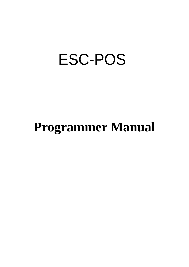# ESC-POS

# **Programmer Manual**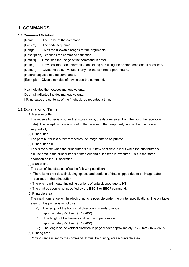# **1. COMMANDS**

#### **1.1 Command Notation**

[Name] The name of the command.

[Format] The code sequence.

[Range] Gives the allowable ranges for the arguments.

[Description] Describes the command's function.

[Details] Describes the usage of the command in detail.

[Notes] Provides important information on setting and using the printer command, if necessary.

[Default] Gives the default values, if any, for the command parameters.

[Reference] Lists related commands.

[Example] Gives examples of how to use the command.

Hex indicates the hexadecimal equivalents.

Decimal indicates the decimal equivalents.

[ ]*k* indicates the contents of the [ ] should be repeated *k* times.

# **1.2 Explanation of Terms**

(1) Receive buffer

The receive buffer is a buffer that stores, as is, the data received from the host (the reception data). The reception data is stored in the receive buffer temporarily, and is then processed sequentially.

(2) Print buffer

The print buffer is a buffer that stores the image data to be printed.

(3) Print buffer full

This is the state when the print buffer is full. If new print data is input while the print buffer is full, the data in the print buffer is printed out and a line feed is executed. This is the same operation as the **LF** operation.

(4) Start of line

The start of line state satisfies the following condition:

- There is no print data (including spaces and portions of data skipped due to bit image data) currently in the print buffer.
- There is no print data (including portions of data skipped due to **HT**)
- The print position is not specified by the **ESC \$** or **ESC \** command.
- (5) Printable area

The maximum range within which printing is possible under the printer specifications. The printable area for this printer is as follows:

- ① The length of the horizontal direction in standard mode: approximately 72.1 mm {576/203"}
- $\circled{5}$  The length of the horizontal direction in page mode: approximately 72.1 mm {576/203"}
- $\delta$  The length of the vertical direction in page mode: approximately 117.3 mm {1662/360"}

(6) Printing area

Printing range is set by the command. It must be printing area  $\delta$  printable area.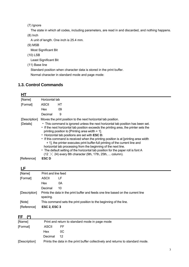(7) Ignore

The state in which all codes, including parameters, are read in and discarded, and nothing happens.

(8) Inch

A unit of length. One inch is 25.4 mm.

(9) MSB

Most Significant Bit

(10) LSB

Least Significant Bit

(11) Base line

Standard position when character data is stored in the print buffer. Normal character in standard mode and page mode:

# **1.3. Control Commands**

| HТ            |                     |                                                                                                                                                                                                                                                                                                                                                                                                                                                                                                                                                                                                                                                                                   |  |  |  |  |
|---------------|---------------------|-----------------------------------------------------------------------------------------------------------------------------------------------------------------------------------------------------------------------------------------------------------------------------------------------------------------------------------------------------------------------------------------------------------------------------------------------------------------------------------------------------------------------------------------------------------------------------------------------------------------------------------------------------------------------------------|--|--|--|--|
| [Name]        | Horizontal tab      |                                                                                                                                                                                                                                                                                                                                                                                                                                                                                                                                                                                                                                                                                   |  |  |  |  |
| [Format]      | ASCII               | НT                                                                                                                                                                                                                                                                                                                                                                                                                                                                                                                                                                                                                                                                                |  |  |  |  |
|               | <b>Hex</b>          | 09                                                                                                                                                                                                                                                                                                                                                                                                                                                                                                                                                                                                                                                                                |  |  |  |  |
|               | Decimal             | 9                                                                                                                                                                                                                                                                                                                                                                                                                                                                                                                                                                                                                                                                                 |  |  |  |  |
| [Description] |                     | Moves the print position to the next horizontal tab position.                                                                                                                                                                                                                                                                                                                                                                                                                                                                                                                                                                                                                     |  |  |  |  |
| [Details]     |                     | • This command is ignored unless the next horizontal tab position has been set.<br>• If the next horizontal tab position exceeds the printing area, the printer sets the<br>printing position to [Printing area width + 1].<br>• Horizontal tab positions are set with ESC D.<br>• If this command is received when the printing position is at [printing area width]<br>+ 1], the printer executes print buffer-full printing of the current line and<br>horizontal tab processing from the beginning of the next line.<br>• The default setting of the horizontal tab position for the paper roll is font A<br>(12 $\times$ 24) every 8th character (9th, 17th, 25th,  column). |  |  |  |  |
| [Reference]   | <b>ESCD</b>         |                                                                                                                                                                                                                                                                                                                                                                                                                                                                                                                                                                                                                                                                                   |  |  |  |  |
| LF            |                     |                                                                                                                                                                                                                                                                                                                                                                                                                                                                                                                                                                                                                                                                                   |  |  |  |  |
| [Name]        | Print and line feed |                                                                                                                                                                                                                                                                                                                                                                                                                                                                                                                                                                                                                                                                                   |  |  |  |  |
| [Format]      | ASCII               | LF                                                                                                                                                                                                                                                                                                                                                                                                                                                                                                                                                                                                                                                                                |  |  |  |  |
|               | المحمل ال           | $\sim$                                                                                                                                                                                                                                                                                                                                                                                                                                                                                                                                                                                                                                                                            |  |  |  |  |

|               | <b>Hex</b>          | 0Α                                                                               |
|---------------|---------------------|----------------------------------------------------------------------------------|
|               | Decimal             | 10                                                                               |
| [Description] | spacing.            | Prints the data in the print buffer and feeds one line based on the current line |
| [Note]        |                     | This command sets the print position to the beginning of the line.               |
| [Reference]   | <b>ESC 2, ESC 3</b> |                                                                                  |

# **FF (\*)**

| . .           |                                                                                |     |  |  |  |  |
|---------------|--------------------------------------------------------------------------------|-----|--|--|--|--|
| [Name]        | Print and return to standard mode in page mode                                 |     |  |  |  |  |
| [Format]      | ASCII                                                                          | FF. |  |  |  |  |
|               | Hex                                                                            | OC. |  |  |  |  |
|               | Decimal                                                                        | 12  |  |  |  |  |
| [Description] | Prints the data in the print buffer collectively and returns to standard mode. |     |  |  |  |  |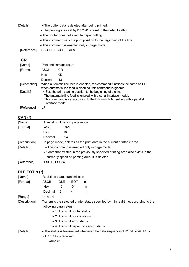| [Details] | • The buffer data is deleted after being printed.                    |  |  |  |  |
|-----------|----------------------------------------------------------------------|--|--|--|--|
|           | • The printing area set by ESC W is reset to the default setting.    |  |  |  |  |
|           | • The printer does not execute paper cutting.                        |  |  |  |  |
|           | • This command sets the print position to the beginning of the line. |  |  |  |  |
|           | • This command is enabled only in page mode.                         |  |  |  |  |

[Reference] **ESC FF**, **ESC L**, **ESC S**

# **CR**

| [Name]        |                                                                                                                                                                                                                                              | Print and carriage return |  |  |  |
|---------------|----------------------------------------------------------------------------------------------------------------------------------------------------------------------------------------------------------------------------------------------|---------------------------|--|--|--|
| [Format]      | <b>ASCII</b>                                                                                                                                                                                                                                 | CR.                       |  |  |  |
|               | Hex                                                                                                                                                                                                                                          | 0D                        |  |  |  |
|               | Decimal                                                                                                                                                                                                                                      | 13                        |  |  |  |
| [Description] | When automatic line feed is enabled, this command functions the same as LF;<br>when automatic line feed is disabled, this command is ignored.                                                                                                |                           |  |  |  |
| [Details]     | • Sets the print starting position to the beginning of the line.<br>• The automatic line feed is ignored with a serial interface model.<br>• This command is set according to the DIP switch 1-1 setting with a parallel<br>interface model. |                           |  |  |  |
| [Reference]   | LF                                                                                                                                                                                                                                           |                           |  |  |  |

# **CAN (\*)**

| [Name]        | Cancel print data in page mode                                                      |                                                   |  |  |  |
|---------------|-------------------------------------------------------------------------------------|---------------------------------------------------|--|--|--|
| [Format]      | ASCII                                                                               | CAN                                               |  |  |  |
|               | Hex                                                                                 | 18                                                |  |  |  |
|               | Decimal                                                                             | 24                                                |  |  |  |
| [Description] | In page mode, deletes all the print data in the current printable area.             |                                                   |  |  |  |
| [Details]     | • This command is enabled only in page mode.                                        |                                                   |  |  |  |
|               | • If data that existed in the previously specified printing area also exists in the |                                                   |  |  |  |
|               |                                                                                     | currently specified printing area, it is deleted. |  |  |  |
| [Reference]   | <b>ESC L. ESC W</b>                                                                 |                                                   |  |  |  |

# **DLE EOT n (\*)**

| [Name]        | Real-time status transmission      |                                                                                     |            |   |                                                                          |  |  |  |
|---------------|------------------------------------|-------------------------------------------------------------------------------------|------------|---|--------------------------------------------------------------------------|--|--|--|
| [Format]      | ASCII                              | DLE.                                                                                | <b>EOT</b> | n |                                                                          |  |  |  |
|               | Hex                                | 10                                                                                  | 04         | n |                                                                          |  |  |  |
|               | Decimal                            | 16                                                                                  | 4          | n |                                                                          |  |  |  |
| [Range]       | $1 \le n \le 4$                    |                                                                                     |            |   |                                                                          |  |  |  |
| [Description] |                                    | Transmits the selected printer status specified by n in real-time, according to the |            |   |                                                                          |  |  |  |
|               | following parameters:              |                                                                                     |            |   |                                                                          |  |  |  |
|               | $n = 1$ : Transmit printer status  |                                                                                     |            |   |                                                                          |  |  |  |
|               | $n = 2$ : Transmit off-line status |                                                                                     |            |   |                                                                          |  |  |  |
|               |                                    | $n = 3$ : Transmit error status                                                     |            |   |                                                                          |  |  |  |
|               |                                    |                                                                                     |            |   | $n = 4$ : Transmit paper roll sensor status                              |  |  |  |
| [Details]     |                                    |                                                                                     |            |   | • The status is transmitted whenever the data sequence of <10>H<04>H< n> |  |  |  |
|               | $(1 \le n \le 4)$ is received.     |                                                                                     |            |   |                                                                          |  |  |  |
|               | Example:                           |                                                                                     |            |   |                                                                          |  |  |  |
|               |                                    |                                                                                     |            |   |                                                                          |  |  |  |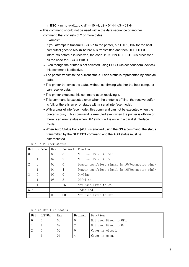In **ESC** ∗ **m nL nH d1...dk**, d1=<10>H, d2=<04>H, d3=<01>H

• This command should not be used within the data sequence of another command that consists of 2 or more bytes.

Example:

If you attempt to transmit **ESC 3 n** to the printer, but DTR (DSR for the host computer) goes to MARK before n is transmitted and then **DLE EOT 3**  interrupts before n is received, the code <10>H for **DLE EOT 3** is processed as the code for **ESC 3 <**10>H.

- Even though the printer is not selected using **ESC =** (select peripheral device), this command is effective.
- The printer transmits the current status. Each status is represented by onebyte data.
- The printer transmits the status without confirming whether the host computer can receive data.
- The printer executes this command upon receiving it.
- This command is executed even when the printer is off-line, the receive buffer is full, or there is an error status with a serial interface model.
- With a parallel interface model, this command can not be executed when the printer is busy. This command is executed even when the printer is off-line or there is an error status when DIP switch 2-1 is on with a parallel interface model.
- When Auto Status Back (ASB) is enabled using the **GS a** command, the status transmitted by the **DLE EOT** command and the ASB status must be differentiated.

| Bit           | 0ff/0n   | Hex            | Decimal        | Function                                           |  |  |
|---------------|----------|----------------|----------------|----------------------------------------------------|--|--|
| $\theta$      | $\Omega$ | 0 <sub>0</sub> | $\theta$       | Not used Fixed to Off.                             |  |  |
|               |          | 02             | $\overline{2}$ | Not used Fixed to On.                              |  |  |
| $\mathcal{D}$ | $\Omega$ | 0 <sup>0</sup> | $\Omega$       | Drawer open/close signal is $LOW$ (connector pin3) |  |  |
|               |          | 04             | $\overline{4}$ | Drawer open/close signal is $Low$ (connector pin3) |  |  |
| 3             | $\Omega$ | 0 <sup>0</sup> | $\Omega$       | $On$ -line                                         |  |  |
|               |          | 08             | 8              | $0ff$ -line                                        |  |  |
| 4             |          | 10             | 16             | Not used. Fixed to On.                             |  |  |
| 5,6           |          |                |                | Undefined.                                         |  |  |
|               | $\Omega$ | 0 <sub>0</sub> | 0 <sub>0</sub> | Not used. Fixed to Off.                            |  |  |

n = 1: Printer status

 $n = 2$ : Off-line status

| Bit | 0ff/0n | Hex | Decimal | Function               |
|-----|--------|-----|---------|------------------------|
|     |        | 00  |         | Not used Fixed to Off. |
|     |        | 02  |         | Not used Fixed to On.  |
|     |        | 00  |         | Cover is closed.       |
|     |        | 04  |         | Cover is open.         |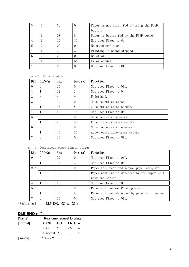| 3 | $\Omega$ | 00             | $\theta$ | Paper is not being fed by using the FEED |  |
|---|----------|----------------|----------|------------------------------------------|--|
|   |          |                |          | button.                                  |  |
|   |          | 08             | 8        | Paper is beging fed by the FEED button.  |  |
|   |          | 10             | 16       | Not used Fixed to On.                    |  |
| 5 |          | 0 <sub>0</sub> | 0        | No paper-end stop.                       |  |
|   |          | 20             | 32       | Printing is being stopped.               |  |
| 6 |          | 00             |          | No error.                                |  |
|   |          | 40             | 64       | Error occurs.                            |  |
|   |          | 00             |          | Not used Fixed to Off.                   |  |

n = 3: Error status

| Bit            | 0ff/0n   | Hex             | Decimal  | Function                       |
|----------------|----------|-----------------|----------|--------------------------------|
| $\Omega$       | $\Omega$ | 00 <sup>1</sup> | $\Omega$ | Not used. Fixed to Off.        |
|                |          | 02              | 2        | Not used. Fixed to On.         |
| 2              |          |                 |          | Undefined.                     |
| 3              | $\Omega$ | 0 <sup>0</sup>  | $\Omega$ | No auto-cutter error.          |
|                |          | 08              | 8        | Auto-cutter error occurs.      |
| $\overline{4}$ |          | 10              | 16       | Not used. Fixed to On.         |
| $\overline{5}$ | $\Omega$ | 0 <sup>0</sup>  | $\Omega$ | No unrecoverable error.        |
|                |          | 20              | 32       | Unrecoverable error occurs.    |
| 6              | $\Omega$ | 0 <sup>0</sup>  | $\Omega$ | No auto-recoverable error.     |
|                |          | 40              | 64       | Auto recoverable error occurs. |
|                |          | 0 <sup>0</sup>  | $\Omega$ | Not used. Fixed to Off.        |

| $n = 4$ : Continuous paper sensor status |  |  |  |
|------------------------------------------|--|--|--|
|------------------------------------------|--|--|--|

| Bit      | 0ff/0n   | Hex             | Decimal  | Function                                     |  |  |  |  |
|----------|----------|-----------------|----------|----------------------------------------------|--|--|--|--|
| $\Omega$ | $\Omega$ | 0 <sup>0</sup>  | $\Omega$ | Not used Fixed to Off.                       |  |  |  |  |
|          |          | 02              | 2        | Not used Fixed to On.                        |  |  |  |  |
| 2.3      | $\Omega$ | 00 <sup>2</sup> | $\Omega$ | Paper roll near-end sensor: paper adequate.  |  |  |  |  |
|          |          | 0C              | 12       | Paper near-end is detected by the paper roll |  |  |  |  |
|          |          |                 |          | near-end sensor.                             |  |  |  |  |
| 4        |          | 10              | 16       | Not used Fixed to On.                        |  |  |  |  |
| 5,6      | $\Omega$ | 0 <sup>0</sup>  | $\Omega$ | Paper roll sensor: Paper present.            |  |  |  |  |
|          |          | 60              | 96       | Paper roll end detected by paper roll senso. |  |  |  |  |
|          | $\Omega$ | 00 <sup>2</sup> | $\Omega$ | Not used Fixed to Off.                       |  |  |  |  |

[Reference] DLE ENQ, GS a, GS r

# **DLE ENQ n (\*)**

| [Name]   |            | Real-time request to printer |      |     |  |  |  |  |  |
|----------|------------|------------------------------|------|-----|--|--|--|--|--|
| [Format] | ASCII      | <b>DLE</b>                   | ENQ. | n n |  |  |  |  |  |
|          | Hex        | 10                           | 05   | n   |  |  |  |  |  |
|          | Decimal 16 |                              | 5    | n   |  |  |  |  |  |
| [Range]  | 1 < n < 2  |                              |      |     |  |  |  |  |  |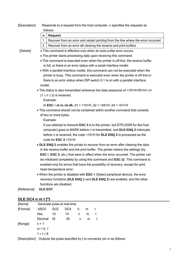[Description] Responds to a request from the host computer. n specifies the requests as follows:

| $\mathbf n$ | Request                                                                           |
|-------------|-----------------------------------------------------------------------------------|
|             | Recover from an error and restart printing from the line where the error occurred |
|             | Recover from an error aft clearing the receive and print buffers                  |

- [Details] This command is effective only when an auto-cutter error occurs.
	- The printer starts processing data upon receiving this command.
	- This command is executed even when the printer is off-line, the receive buffer is full, or there is an error status with a serial interface model.
	- With a parallel interface model, this command can not be executed when the printer is busy. This command is executed even when the printer is off-line or there is an error status when DIP switch 2-1 is on with a parallel interface model.
	- The status is also transmitted whenever the data sequence of <10>H<05>H< n>
		- $(1 \le n \le 2)$  is received.

Example:

In **ESC** ∗ **m nL nH dk**, d1 = <10>H, d2 = <05>H, d3 = <01>H

• This command should not be contained within another command that consists of two or more bytes.

Example:

If you attempt to transmit **ESC 3 n** to the printer, but DTR (DSR for the host computer) goes to MARK before n is transmitted, and **DLE ENQ 2** interrupts before n is received, the code <10>H for **DLE ENQ 2** is processed as the code for **ESC 3** <10>H.

- **DLE ENQ 2** enables the printer to recover from an error after clearing the data in the receive buffer and the print buffer. The printer retains the settings (by **ESC !**, **ESC 3**, etc.) that were in effect when the error occurred. The printer can be initialized completely by using this command and **ESC @**. This command is enabled only for errors that have the possibility of recovery, except for print head temperature error.
- When the printer is disabled with **ESC =** (Select peripheral device), the error recovery functions (**DLE ENQ 1** and **DLE ENQ 2**) are enabled, and the other functions are disabled.

[Reference] **DLE EOT** 

# **DLE DC4 n m t (\*)**

| [Name]<br>Generate pulse at real-time                                         |                   |            |     |   |   |  |  |  |
|-------------------------------------------------------------------------------|-------------------|------------|-----|---|---|--|--|--|
| [Format]                                                                      | <b>ASCII</b>      | <b>DLE</b> | DC4 | n | m |  |  |  |
|                                                                               | <b>Hex</b>        | 10         | 14  | n | m |  |  |  |
|                                                                               | Decimal           | 16         | 20  | n | m |  |  |  |
| [Range]                                                                       | $n = 1$           |            |     |   |   |  |  |  |
|                                                                               | $m = 0, 1$        |            |     |   |   |  |  |  |
|                                                                               | $1 \leq t \leq 8$ |            |     |   |   |  |  |  |
| TD a a substituted  Outlooks that we close a second fixed but the consequence |                   |            |     |   |   |  |  |  |

[Description] Outputs the pulse specified by t to connector pin m as follows: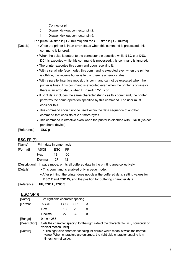| m | Connector pin                    |
|---|----------------------------------|
|   | Drawer kick-out connector pin 2. |
|   | Drawer kick-out connector pin 5. |

The pulse ON time is  $\lceil t \times 100 \text{ ms} \rceil$  and the OFF time is  $\lceil t \times 100 \text{ ms} \rceil$ .

- [Details] When the printer is in an error status when this command is processed, this command is ignored.
	- When the pulse is output to the connector pin specified while **ESC p** or **DEL DC4** is executed while this command is processed, this command is ignored.
	- The printer executes this command upon receiving it.
	- With a serial interface model, this command is executed even when the printer is off-line, the receive buffer is full, or there is an error status.
	- With a parallel interface model, this command cannot be executed when the printer is busy. This command is executed even when the printer is off-line or there is an error status when DIP switch 2-1 is on.
	- If print data includes the same character strings as this command, the printer performs the same operation specified by this command. The user must consider this.
	- This command should not be used within the data sequence of another command that consists of 2 or more bytes.
	- This command is effective even when the printer is disabled with **ESC =** (Select peripheral device).

[Reference] **ESC p** 

#### **ESC FF (\*)**

| [Name]        | Print data in page mode |     |                                                                                    |
|---------------|-------------------------|-----|------------------------------------------------------------------------------------|
| [Format]      | ASCII                   | ESC | FF                                                                                 |
|               | Hex                     | 1B  | 0C                                                                                 |
|               | Decimal                 | 27  | 12                                                                                 |
| [Description] |                         |     | In page mode, prints all buffered data in the printing area collectively.          |
| [Details]     |                         |     | • This command is enabled only in page mode.                                       |
|               |                         |     | • After printing, the printer does not clear the buffered data, setting values for |
|               |                         |     | <b>ESC T</b> and <b>ESC W</b> , and the position for buffering character data.     |
| [Reference]   | FF, ESC L, ESC S        |     |                                                                                    |

#### **ESC SP** *n*

| [Name]        | Set right-side character spacing |            |    |                                                                                                                                                            |
|---------------|----------------------------------|------------|----|------------------------------------------------------------------------------------------------------------------------------------------------------------|
| [Format]      | ASCII                            | <b>ESC</b> | SP | n                                                                                                                                                          |
|               | Hex                              | 1Β         | 20 | n                                                                                                                                                          |
|               | Decimal                          | 27         | 32 | n                                                                                                                                                          |
| [Range]       | 0 < n < 255                      |            |    |                                                                                                                                                            |
| [Description] | vertical motion units].          |            |    | Sets the character spacing for the right side of the character to [n horizontal or                                                                         |
| [Details]     | times normal value.              |            |    | • The right-side character spacing for double-width mode is twice the normal<br>value. When characters are enlarged, the right-side character spacing is n |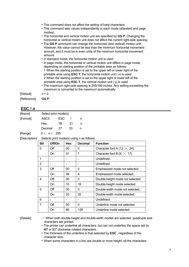|  |  |  |  |  |  |  | • This command does not affect the setting of kanji characters. |
|--|--|--|--|--|--|--|-----------------------------------------------------------------|
|--|--|--|--|--|--|--|-----------------------------------------------------------------|

- This command sets values independently in each mode (standard and page modes).
- The horizontal and vertical motion unit are specified by **GS P**. Changing the horizontal or vertical motion unit does not affect the current right-side spacing.
- The **GS P** command can change the horizontal (and vertical) motion unit. However, the value cannot be less than the minimum horizontal movement amount, and it must be in even units of the minimum horizontal movement amount.
- In standard mode, the horizontal motion unit is used.
- In page mode, the horizontal or vertical motion unit differs in page mode, depending on starting position of the printable area as follows: 1 When the starting position is set to the upper left or lower right of the printable area using **ESC T**, the horizontal motion unit ( x) is used. 2 When the starting position is set to the upper right or lower left of the printable area using **ESC T**, the vertical motion unit  $(y)$  is used.
- The maximum right-side spacing is 255/180 inches. Any setting exceeding the maximum is converted to the maximum automatically.

[Default] *n* = 0 [Reference] **GS P**

#### ESC !  $n$

| [Name]   | Select print mode(s) |     |     |   |
|----------|----------------------|-----|-----|---|
| [Format] | ASCII                | ESC |     | n |
|          | Hex                  | 1B  | -21 |   |
|          | Decimal              | 27  | 33  | n |
| [Range]  | 0 < n < 255          |     |     |   |

[Description] Selects print mode(s) using n as follows:

| <b>Bit</b> | Off/On | <b>Hex</b> | <b>Decimal</b> | <b>Function</b>                    |
|------------|--------|------------|----------------|------------------------------------|
| 0          | Off    | 00         | 0              | Character font A (12 $\times$ 24). |
|            | On     | 01         | 1              | Character font B (9 $\times$ 17).  |
|            |        |            |                | Undefined.                         |
| 2          |        |            |                | Undefined.                         |
| 3          | Off    | 00         | 0              | Emphasized mode not selected.      |
|            | On     | 08         | 8              | Emphasized mode selected.          |
| 4          | Off    | 00         | 0              | Double-height mode not selected.   |
|            | On     | 10         | 16             | Double-height mode selected.       |
| 5          | Off    | 00         | 0              | Double-width mode not selected.    |
|            | On     | 20         | 32             | Double-width mode selected.        |
| 6          |        |            |                | Undefined.                         |
| 7          | Off    | 00         | 0              | Underline mode not selected.       |
|            | On     | 80         | 128            | Underline mode selected.           |

[Details] • When both double-height and double-width modes are selected, quadruple size characters are printed.

- The printer can underline all characters, but can not underline the space set by **HT** or 90° clockwise rotated characters.
- The thickness of the underline is that selected by **ESC** , regardless of the character size.

• When some characters in a line are double or more height, all the characters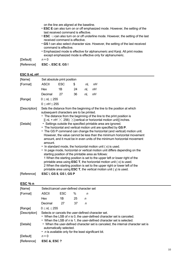on the line are aligned at the baseline.

- **ESC E** can also turn on or off emphasized mode. However, the setting of the last received command is effective.
- **ESC** —can also turn on or off underline mode. However, the setting of the last received command is effective.
- **GS !** can also select character size. However, the setting of the last received command is effective.
- Emphasized mode is effective for alphanumeric and Kanji. All print modes except emphasized mode is effective only for alphanumeric.

 $[Default]$   $n = 0$ 

[Reference] **ESC -**, **ESC E**, **GS !** 

#### **ESC \$** *nL nH*

| [Name]        | Set absolute print position                                                                                                                                                                                               |                                                                                                                                                                                                                                                                                                                                                                                                                                                         |    |    |    |  |  |                                                                                                                                                                                                                               |  |  |
|---------------|---------------------------------------------------------------------------------------------------------------------------------------------------------------------------------------------------------------------------|---------------------------------------------------------------------------------------------------------------------------------------------------------------------------------------------------------------------------------------------------------------------------------------------------------------------------------------------------------------------------------------------------------------------------------------------------------|----|----|----|--|--|-------------------------------------------------------------------------------------------------------------------------------------------------------------------------------------------------------------------------------|--|--|
| [Format]      | <b>ASCII</b>                                                                                                                                                                                                              | <b>ESC</b>                                                                                                                                                                                                                                                                                                                                                                                                                                              | \$ | nL | nН |  |  |                                                                                                                                                                                                                               |  |  |
|               | Hex                                                                                                                                                                                                                       | 1B                                                                                                                                                                                                                                                                                                                                                                                                                                                      | 24 | nL | nН |  |  |                                                                                                                                                                                                                               |  |  |
|               | Decimal                                                                                                                                                                                                                   | 27                                                                                                                                                                                                                                                                                                                                                                                                                                                      | 36 | nL | nН |  |  |                                                                                                                                                                                                                               |  |  |
| [Range]       | $0 \leq nL \leq 255$                                                                                                                                                                                                      |                                                                                                                                                                                                                                                                                                                                                                                                                                                         |    |    |    |  |  |                                                                                                                                                                                                                               |  |  |
|               | $0 \leq nH \leq 255$                                                                                                                                                                                                      |                                                                                                                                                                                                                                                                                                                                                                                                                                                         |    |    |    |  |  |                                                                                                                                                                                                                               |  |  |
| [Description] |                                                                                                                                                                                                                           | Sets the distance from the beginning of the line to the position at which<br>subsequent characters are to be printed.<br>• The distance from the beginning of the line to the print position is<br>$[(nL + nH) \times 256) \times (vertical or horizontal motion unit)]$ inches.                                                                                                                                                                        |    |    |    |  |  |                                                                                                                                                                                                                               |  |  |
| [Details]     | • The horizontal and vertical motion unit are specified by GS P.<br>amount.<br>• In standard mode, the horizontal motion unit (x) is used.<br>• In page mode, horizontal or vertical motion unit differs depending on the | • Settings outside the specified printable area are ignored.<br>starting position of the printable area as follows:<br>1 When the starting position is set to the upper left or lower right of the<br>printable area using <b>ESC T</b> , the horizontal motion unit $(x)$ is used.<br>2 When the starting position is set to the upper right or lower left of the<br>printable area using $\textsf{ESC T}$ , the vertical motion unit ( $y$ ) is used. |    |    |    |  |  | • The GS P command can change the horizontal (and vertical) motion unit.<br>However, the value cannot be less than the minimum horizontal movement<br>amount, and it must be in even units of the minimum horizontal movement |  |  |
| [Reference]   | ESC $\lambda$ , GS \$, GS $\lambda$ , GS P                                                                                                                                                                                |                                                                                                                                                                                                                                                                                                                                                                                                                                                         |    |    |    |  |  |                                                                                                                                                                                                                               |  |  |

#### **ESC % n**

| [Name]        | Select/cancel user-defined character set                                                                                                                                                             |            |    |   |  |  |  |  |  |  |
|---------------|------------------------------------------------------------------------------------------------------------------------------------------------------------------------------------------------------|------------|----|---|--|--|--|--|--|--|
| [Format]      | ASCII                                                                                                                                                                                                | <b>ESC</b> | ℅  | n |  |  |  |  |  |  |
|               | Hex                                                                                                                                                                                                  | 1Β         | 25 | n |  |  |  |  |  |  |
|               | Decimal                                                                                                                                                                                              | 27         | 37 | n |  |  |  |  |  |  |
| [Range]       | 0 < nL < 255                                                                                                                                                                                         |            |    |   |  |  |  |  |  |  |
| [Description] | Selects or cancels the user-defined character set.<br>• When the LSB of n is 0, the user-defined character set is canceled.<br>• When the LSB of n is 1, the user-defined character set is selected. |            |    |   |  |  |  |  |  |  |
| [Details]     | • When the user-defined character set is canceled, the internal character set is<br>automatically selected.<br>• <i>n</i> is available only for the least significant bit.                           |            |    |   |  |  |  |  |  |  |
| [Default]     | $n = 0$                                                                                                                                                                                              |            |    |   |  |  |  |  |  |  |
| [Reference]   | <b>ESC &amp; ESC ?</b>                                                                                                                                                                               |            |    |   |  |  |  |  |  |  |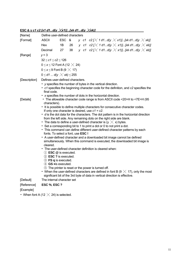| [Name]        | Define user-defined characters                                                                                                              |       |    |  |  |                                                                                                                                                                        |  |  |  |  |  |
|---------------|---------------------------------------------------------------------------------------------------------------------------------------------|-------|----|--|--|------------------------------------------------------------------------------------------------------------------------------------------------------------------------|--|--|--|--|--|
| [Format]      | <b>ASCII</b>                                                                                                                                | ESC & |    |  |  | y c1 c2 [ $\times$ 1 d1d(y $\times$ x1)][xk d1d(y $\times$ xk)]                                                                                                        |  |  |  |  |  |
|               | Hex                                                                                                                                         | 1B    | 26 |  |  | y c1 c2 [ $\times$ 1 d1d(y $\times$ x1)][xk d1d(y $\times$ xk)]                                                                                                        |  |  |  |  |  |
|               | Decimal                                                                                                                                     | 27    | 38 |  |  | y c1 c2 [ $\times$ 1 d1d(y $\times$ x1)][xk d1d(y $\times$ xk)]                                                                                                        |  |  |  |  |  |
| [Range]       | $y = 3$                                                                                                                                     |       |    |  |  |                                                                                                                                                                        |  |  |  |  |  |
|               | $32 \le c1 \le c2 \le 126$                                                                                                                  |       |    |  |  |                                                                                                                                                                        |  |  |  |  |  |
|               | $0 \leq x \leq 12$ Font A (12 $\times$ 24)                                                                                                  |       |    |  |  |                                                                                                                                                                        |  |  |  |  |  |
|               | $0 \leq x \leq 9$ Font B (9 $\times$ 17)                                                                                                    |       |    |  |  |                                                                                                                                                                        |  |  |  |  |  |
|               | $0 \le d1$ $d(y) \times xk \le 255$                                                                                                         |       |    |  |  |                                                                                                                                                                        |  |  |  |  |  |
| [Description] | Defines user-defined characters.                                                                                                            |       |    |  |  |                                                                                                                                                                        |  |  |  |  |  |
|               |                                                                                                                                             |       |    |  |  | • y specifies the number of bytes in the vertical direction.                                                                                                           |  |  |  |  |  |
|               |                                                                                                                                             |       |    |  |  | • c1 specifies the beginning character code for the definition, and c2 specifies the                                                                                   |  |  |  |  |  |
|               | final code.                                                                                                                                 |       |    |  |  |                                                                                                                                                                        |  |  |  |  |  |
| [Details]     | • x specifies the number of dots in the horizontal direction.<br>• The allowable character code range is from ASCII code <20>H to <7E>H (95 |       |    |  |  |                                                                                                                                                                        |  |  |  |  |  |
|               | characters).                                                                                                                                |       |    |  |  |                                                                                                                                                                        |  |  |  |  |  |
|               |                                                                                                                                             |       |    |  |  | • It is possible to define multiple characters for consecutive character codes.                                                                                        |  |  |  |  |  |
|               |                                                                                                                                             |       |    |  |  | If only one character is desired, use $c1 = c2$ .<br>$\cdot$ d is the dot data for the characters. The dot pattern is in the horizontal direction                      |  |  |  |  |  |
|               |                                                                                                                                             |       |    |  |  | from the left side. Any remaining dots on the right side are blank.                                                                                                    |  |  |  |  |  |
|               |                                                                                                                                             |       |    |  |  | • The data to define a user-defined character is (y $\times$ x) bytes.                                                                                                 |  |  |  |  |  |
|               |                                                                                                                                             |       |    |  |  | • Set a corresponding bit to 1 to print a dot or 0 to not print a dot.                                                                                                 |  |  |  |  |  |
|               | fonts. To select a font, use ESC !                                                                                                          |       |    |  |  | • This command can define different user-defined character patterns by each                                                                                            |  |  |  |  |  |
|               |                                                                                                                                             |       |    |  |  | • A user-defined character and a downloaded bit image cannot be defined                                                                                                |  |  |  |  |  |
|               |                                                                                                                                             |       |    |  |  | simultaneously. When this command is executed, the downloaded bit image is                                                                                             |  |  |  |  |  |
|               | cleared.                                                                                                                                    |       |    |  |  |                                                                                                                                                                        |  |  |  |  |  |
|               | • The user-defined character definition is cleared when:<br>$(1)$ <b>ESC</b> $@$ is executed.                                               |       |    |  |  |                                                                                                                                                                        |  |  |  |  |  |
|               | 2 ESC ? is executed.                                                                                                                        |       |    |  |  |                                                                                                                                                                        |  |  |  |  |  |
|               | <b>3</b> FS q is executed.                                                                                                                  |       |    |  |  |                                                                                                                                                                        |  |  |  |  |  |
|               | 4 GS * is executed.                                                                                                                         |       |    |  |  |                                                                                                                                                                        |  |  |  |  |  |
|               |                                                                                                                                             |       |    |  |  | 5 The printer is reset or the power is turned off.                                                                                                                     |  |  |  |  |  |
|               |                                                                                                                                             |       |    |  |  | • When the user-defined characters are defined in font B (9 $\times$ 17), only the most<br>significant bit of the 3rd byte of data in vertical direction is effective. |  |  |  |  |  |
| [Default]     | The internal character set                                                                                                                  |       |    |  |  |                                                                                                                                                                        |  |  |  |  |  |
| [Reference]   | <b>ESC %, ESC ?</b>                                                                                                                         |       |    |  |  |                                                                                                                                                                        |  |  |  |  |  |

# **ESC & y** *c1 c2 [x1 d1...d(y* ╳*x1)]...[xk d1...d(y* ╳*xk)]*

[Example]

• When font A (12  $\times$  24) is selected.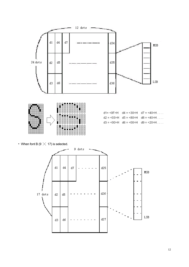

• When font B (9  $\times$  17) is selected.

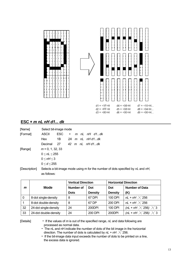

# **ESC** \* *m nL nH d1... dk*

| [Name]        | Select bit-image mode |                    |        |  |  |                                                                                 |  |  |  |
|---------------|-----------------------|--------------------|--------|--|--|---------------------------------------------------------------------------------|--|--|--|
| [Format]      | ASCII                 | ESC.               | $\ast$ |  |  | m nL nH d1…dk                                                                   |  |  |  |
|               | Hex                   | 1B                 |        |  |  | 2A m nL nHd1dk                                                                  |  |  |  |
|               | Decimal               | - 27               |        |  |  | 42 m nL nHd1dk                                                                  |  |  |  |
| [Range]       |                       | $m = 0, 1, 32, 33$ |        |  |  |                                                                                 |  |  |  |
|               | $0 \leq nL \leq 255$  |                    |        |  |  |                                                                                 |  |  |  |
|               |                       | 0 < nH < 3         |        |  |  |                                                                                 |  |  |  |
|               | 0 < d < 255           |                    |        |  |  |                                                                                 |  |  |  |
| [Description] | as follows:           |                    |        |  |  | Selects a bit-image mode using m for the number of dots specified by nL and nH, |  |  |  |

|          |                       | <b>Vertical Direction</b> |                | <b>Horizontal Direction</b> |                                   |  |
|----------|-----------------------|---------------------------|----------------|-----------------------------|-----------------------------------|--|
| m        | <b>Mode</b>           | <b>Number of</b>          | Dot            | Dot                         | <b>Number of Data</b>             |  |
|          |                       | <b>Dots</b>               | <b>Density</b> | <b>Density</b>              | (K)                               |  |
| $\Omega$ | 8-dot single-density  | 8                         | 67 DPI         | 100 DPI                     | nL + nH $\times$ 256              |  |
|          | 8-dot double-density  | 8                         | 67 DP          | 200 DPI                     | nL + nH $\times$ 256              |  |
| 32       | 24-dot single-density | 24                        | 200DPI         | 100 DPI                     | (nL + nH $\times$ 256) $\times$ 3 |  |
| 33       | 24-dot double-density | 24                        | 200 DPI        | 200DPI                      | (nL + nH $\times$ 256) $\times$ 3 |  |

[Details] • If the values of *m* is out of the specified range, *nL* and data following are processed as normal data.

• The nL and nH indicate the number of dots of the bit image in the horizontal direction. The number of dots is calculated by  $nL + nH \times 256$ .

• If the bit-image data input exceeds the number of dots to be printed on a line, the excess data is ignored.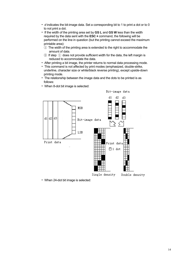- *d* indicates the bit-image data. Set a corresponding bit to 1 to print a dot or to 0 to not print a dot.
- If the width of the printing area set by **GS L** and **GS W** less than the width required by the data sent with the **ESC** \* command, the following will be performed on the line in question (but the printing cannot exceed the maximum printable area):
- ① The width of the printing area is extended to the right to accommodate the amount of data.
- $(2)$  If step  $(1)$  does not provide sufficient width for the data, the left margin is reduced to accommodate the data.
- After printing a bit image, the printer returns to normal data processing mode.
- This command is not affected by print modes (emphasized, double-strike, underline, character size or white/black reverse printing), except upside-down printing mode.
- The relationship between the image data and the dots to be printed is as follows:
- When 8-dot bit image is selected:



• When 24-dot bit image is selected: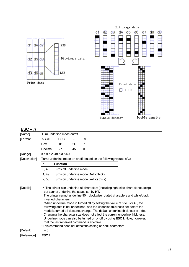

| $ESC - n$     |                                                                                                                                                                                                                                                                                                                                                                                                                                                                                                                                                                                                                                                                                                                                                                                    |                                        |                                       |   |                                                                        |  |  |  |  |  |  |
|---------------|------------------------------------------------------------------------------------------------------------------------------------------------------------------------------------------------------------------------------------------------------------------------------------------------------------------------------------------------------------------------------------------------------------------------------------------------------------------------------------------------------------------------------------------------------------------------------------------------------------------------------------------------------------------------------------------------------------------------------------------------------------------------------------|----------------------------------------|---------------------------------------|---|------------------------------------------------------------------------|--|--|--|--|--|--|
| [Name]        | Turn underline mode on/off                                                                                                                                                                                                                                                                                                                                                                                                                                                                                                                                                                                                                                                                                                                                                         |                                        |                                       |   |                                                                        |  |  |  |  |  |  |
| [Format]      | ASCII                                                                                                                                                                                                                                                                                                                                                                                                                                                                                                                                                                                                                                                                                                                                                                              | <b>ESC</b>                             |                                       | n |                                                                        |  |  |  |  |  |  |
|               | Hex                                                                                                                                                                                                                                                                                                                                                                                                                                                                                                                                                                                                                                                                                                                                                                                | 1B                                     | 2D                                    | n |                                                                        |  |  |  |  |  |  |
|               | Decimal                                                                                                                                                                                                                                                                                                                                                                                                                                                                                                                                                                                                                                                                                                                                                                            | 27                                     | 45                                    | n |                                                                        |  |  |  |  |  |  |
| [Range]       |                                                                                                                                                                                                                                                                                                                                                                                                                                                                                                                                                                                                                                                                                                                                                                                    | $0 \le n \le 2, 48 \le n \le 50$       |                                       |   |                                                                        |  |  |  |  |  |  |
| [Description] |                                                                                                                                                                                                                                                                                                                                                                                                                                                                                                                                                                                                                                                                                                                                                                                    |                                        |                                       |   | Turns underline mode on or off, based on the following values of $n$ . |  |  |  |  |  |  |
|               | $\mathbf n$                                                                                                                                                                                                                                                                                                                                                                                                                                                                                                                                                                                                                                                                                                                                                                        | <b>Function</b>                        |                                       |   |                                                                        |  |  |  |  |  |  |
|               | 0, 48                                                                                                                                                                                                                                                                                                                                                                                                                                                                                                                                                                                                                                                                                                                                                                              | Turns off underline mode               |                                       |   |                                                                        |  |  |  |  |  |  |
|               | 1,49                                                                                                                                                                                                                                                                                                                                                                                                                                                                                                                                                                                                                                                                                                                                                                               |                                        | Turns on underline mode (1-dot thick) |   |                                                                        |  |  |  |  |  |  |
|               | 2, 50                                                                                                                                                                                                                                                                                                                                                                                                                                                                                                                                                                                                                                                                                                                                                                              | Turns on underline mode (2-dots thick) |                                       |   |                                                                        |  |  |  |  |  |  |
| [Details]     | • The printer can underline all characters (including right-side character spacing),<br>but cannot underline the space set by HT.<br>• The printer cannot underline 90 clockwise rotated characters and white/black<br>inverted characters.<br>• When underline mode id turned off by setting the value of n to 0 or 48, the<br>following data is not underlined, and the underline thickness set before the<br>mode is turned off does not change. The default underline thickness is 1 dot.<br>• Changing the character size does not affect the current underline thickness.<br>• Underline mode can also be turned on or off by using ESC !. Note, however,<br>that the last received command is effective.<br>• This command does not affect the setting of Kanji characters. |                                        |                                       |   |                                                                        |  |  |  |  |  |  |
| [Default]     | $n = 0$                                                                                                                                                                                                                                                                                                                                                                                                                                                                                                                                                                                                                                                                                                                                                                            |                                        |                                       |   |                                                                        |  |  |  |  |  |  |
| [Reference]   | ESC!                                                                                                                                                                                                                                                                                                                                                                                                                                                                                                                                                                                                                                                                                                                                                                               |                                        |                                       |   |                                                                        |  |  |  |  |  |  |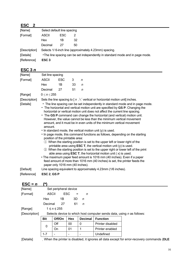# **ESC 2**

| [Name]        | Select default line spacing                                                    |      |    |                                                       |  |
|---------------|--------------------------------------------------------------------------------|------|----|-------------------------------------------------------|--|
| [Format]      | ASCII                                                                          | ESC. | 2  |                                                       |  |
|               | <b>Hex</b>                                                                     | 1Β   | 32 |                                                       |  |
|               | Decimal                                                                        | 27   | 50 |                                                       |  |
| [Description] |                                                                                |      |    | Selects 1/6-inch line (approximately 4.23mm) spacing. |  |
| [Details]     | • The line spacing can be set independently in standard mode and in page mode. |      |    |                                                       |  |
| [Reference]   | ESC <sub>3</sub>                                                               |      |    |                                                       |  |

#### **ESC 3** *n*

| [Name]                                  | Set line spacing  |                                                                    |    |              |                                                                                                                                                                                                                                                                                                                                                                                                                                                                                                                                                                                                                                                                                                                                                                                                                                                                                                                                                                                                                                                                                                                                                                                                                                                                          |
|-----------------------------------------|-------------------|--------------------------------------------------------------------|----|--------------|--------------------------------------------------------------------------------------------------------------------------------------------------------------------------------------------------------------------------------------------------------------------------------------------------------------------------------------------------------------------------------------------------------------------------------------------------------------------------------------------------------------------------------------------------------------------------------------------------------------------------------------------------------------------------------------------------------------------------------------------------------------------------------------------------------------------------------------------------------------------------------------------------------------------------------------------------------------------------------------------------------------------------------------------------------------------------------------------------------------------------------------------------------------------------------------------------------------------------------------------------------------------------|
| [Format]                                | <b>ASCII</b>      | <b>ESC</b>                                                         | 3  | n            |                                                                                                                                                                                                                                                                                                                                                                                                                                                                                                                                                                                                                                                                                                                                                                                                                                                                                                                                                                                                                                                                                                                                                                                                                                                                          |
|                                         | Hex               | 1B                                                                 | 33 | n            |                                                                                                                                                                                                                                                                                                                                                                                                                                                                                                                                                                                                                                                                                                                                                                                                                                                                                                                                                                                                                                                                                                                                                                                                                                                                          |
|                                         | Decimal           | 27                                                                 | 51 | $\mathsf{n}$ |                                                                                                                                                                                                                                                                                                                                                                                                                                                                                                                                                                                                                                                                                                                                                                                                                                                                                                                                                                                                                                                                                                                                                                                                                                                                          |
| [Range]                                 | $0 \le n \le 255$ |                                                                    |    |              |                                                                                                                                                                                                                                                                                                                                                                                                                                                                                                                                                                                                                                                                                                                                                                                                                                                                                                                                                                                                                                                                                                                                                                                                                                                                          |
| [Description]<br>[Details]<br>[Default] | amount.           | position of the printable area:<br>paper only 1016 mm (40 inches). |    |              | Sets the line spacing to [ $n \times$ vertical or horizontal motion unit] inches.<br>• The line spacing can be set independently in standard mode and in page mode.<br>• The horizontal and vertical motion unit are specified by GS P. Changing the<br>horizontal or vertical motion unit does not affect the current line spacing.<br>• The GS P command can change the horizontal (and vertical) motion unit.<br>However, the value cannot be less than the minimum vertical movement<br>amount, and it must be in even units of the minimum vertical movement<br>• In standard mode, the vertical motion unit (y) is used.<br>• In page mode, this command functions as follows, depending on the starting<br>1) When the starting position is set to the upper left or lower right of the<br>printable area using <b>ESC T</b> , the vertical motion unit $(y)$ is used.<br>2 When the starting position is set to the upper right or lower left of the print<br>able area using <b>ESC T</b> , the horizontal motion unit $(x)$ is used.<br>• The maximum paper feed amount is 1016 mm (40 inches). Even if a paper<br>feed amount of more than 1016 mm (40 inches) is set, the printer feeds the<br>Line spacing equivalent to approximately 4.23mm (1/6 inches). |
| [Reference]                             | ESC 2, GS P       |                                                                    |    |              |                                                                                                                                                                                                                                                                                                                                                                                                                                                                                                                                                                                                                                                                                                                                                                                                                                                                                                                                                                                                                                                                                                                                                                                                                                                                          |

# **ESC** =  $n$  (\*) [Name] Set peripheral device [Format] ASCII ESC = *n*  Hex 1B 3D *n*  Decimal 27 61 *n*  [Range] 1 *≤ n ≤* 255 [Description] Selects device to which host computer sends data, using *n* as follows: Bit **Off/On Hex Decimal Function** Off 00 0 Printer disabled 0 On | 01 | 1 | Printer enabled 1-7 - - - - - Undefined [Details] When the printer is disabled, it ignores all data except for error-recovery commands (**DLE**

16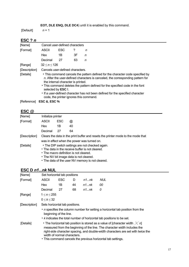# **EOT, DLE ENQ, DLE DC4**) until it is enabled by this command.

[Default] *n* = 1

# **ESC ?** *n*

| [Name]                     |                         | Cancel user-defined characters                                                                                                                                                                                                                                                                                                                                                                                                                                                                         |    |   |  |  |  |
|----------------------------|-------------------------|--------------------------------------------------------------------------------------------------------------------------------------------------------------------------------------------------------------------------------------------------------------------------------------------------------------------------------------------------------------------------------------------------------------------------------------------------------------------------------------------------------|----|---|--|--|--|
| [Format]                   | ASCII                   | <b>ESC</b>                                                                                                                                                                                                                                                                                                                                                                                                                                                                                             | ?  | n |  |  |  |
|                            | Hex                     | 1B                                                                                                                                                                                                                                                                                                                                                                                                                                                                                                     | 3F | n |  |  |  |
|                            | Decimal                 | 27                                                                                                                                                                                                                                                                                                                                                                                                                                                                                                     | 63 | n |  |  |  |
| [Range]                    |                         |                                                                                                                                                                                                                                                                                                                                                                                                                                                                                                        |    |   |  |  |  |
| [Description]<br>[Details] |                         | 32 < n < 126<br>Cancels user-defined characters.<br>• This command cancels the pattern defined for the character code specified by<br>n. After the user-defined characters is canceled, the corresponding pattern for<br>the internal character is printed.<br>• This command deletes the pattern defined for the specified code in the font<br>selected by <b>ESC</b> !.<br>• If a user-defined character has not been defined for the specified character<br>code, the printer ignores this command. |    |   |  |  |  |
| [Reference]                | <b>ESC &amp;, ESC %</b> |                                                                                                                                                                                                                                                                                                                                                                                                                                                                                                        |    |   |  |  |  |

# **ESC @**

| [Name]        | Initialize printer |            |                                                                                                                                                                                                                                               |
|---------------|--------------------|------------|-----------------------------------------------------------------------------------------------------------------------------------------------------------------------------------------------------------------------------------------------|
| [Format]      | ASCII              | <b>ESC</b> | $\omega$                                                                                                                                                                                                                                      |
|               | Hex                | 1Β         | 40                                                                                                                                                                                                                                            |
|               | Decimal            | 27         | 64                                                                                                                                                                                                                                            |
| [Description] |                    |            | Clears the data in the print buffer and resets the printer mode to the mode that<br>was in effect when the power was turned on.                                                                                                               |
| [Details]     |                    |            | • The DIP switch settings are not checked again.<br>• The data in the receive buffer is not cleared.<br>• The macro definition is not cleared.<br>• The NV bit image data is not cleared.<br>• The data of the user NV memory is not cleared. |

# **ESC D** *n1...nk* **NUL**

| [Name]        | Set horizontal tab positions                                                                                                                                                                                                                                                                                                                       |            |    |           |            |  |  |  |
|---------------|----------------------------------------------------------------------------------------------------------------------------------------------------------------------------------------------------------------------------------------------------------------------------------------------------------------------------------------------------|------------|----|-----------|------------|--|--|--|
| [Format]      | ASCII                                                                                                                                                                                                                                                                                                                                              | <b>ESC</b> | D  | n1nk      | <b>NUL</b> |  |  |  |
|               | Hex                                                                                                                                                                                                                                                                                                                                                | 1Β         | 44 | n1nk      | 00         |  |  |  |
|               | Decimal                                                                                                                                                                                                                                                                                                                                            | 27         | 68 | $n1$ $nk$ | 0          |  |  |  |
| [Range]       | $1 \le n \le 255$                                                                                                                                                                                                                                                                                                                                  |            |    |           |            |  |  |  |
|               | 0 < k < 32                                                                                                                                                                                                                                                                                                                                         |            |    |           |            |  |  |  |
| [Description] | Sets horizontal tab positions.                                                                                                                                                                                                                                                                                                                     |            |    |           |            |  |  |  |
|               | • <i>n</i> specifies the column number for setting a horizontal tab position from the<br>beginning of the line.<br>• k indicates the total number of horizontal tab positions to be set.                                                                                                                                                           |            |    |           |            |  |  |  |
| [Details]     | • The horizontal tab position is stored as a value of [character width $\times$ n]<br>measured from the beginning of the line. The character width includes the<br>right-side character spacing, and double-width characters are set with twice the<br>width of normal characters.<br>• This command cancels the previous horizontal tab settings. |            |    |           |            |  |  |  |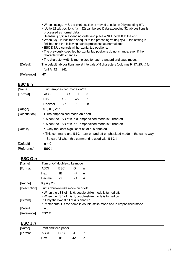|             | • When setting $n = 8$ , the print position is moved to column 9 by sending HT.<br>• Up to 32 tab positions ( $k = 32$ ) can be set. Data exceeding 32 tab positions is<br>processed as normal data.                                                                                   |
|-------------|----------------------------------------------------------------------------------------------------------------------------------------------------------------------------------------------------------------------------------------------------------------------------------------|
|             | • Transmit $[n]$ k in ascending order and place a NUL code 0 at the end.<br>• When $[n]$ k is less than or equal to the preceding value $[n]$ k-1, tab setting is<br>finished and the following data is processed as normal data.<br>• ESC D NUL cancels all horizontal tab positions. |
|             | • The previously specified horizontal tab positions do not change, even if the<br>character width changes.                                                                                                                                                                             |
|             | • The character width is memorized for each standard and page mode.                                                                                                                                                                                                                    |
| [Default]   | The default tab positions are at intervals of 8 characters (columns 9, 17, 25,) for<br>font A (12 $\times$ 24).                                                                                                                                                                        |
| [Reference] | <b>HT</b>                                                                                                                                                                                                                                                                              |

# **ESC E n ESC E n**

| Turn emphasized mode on/off                                                      |            |                         |   |                                                        |  |  |  |  |
|----------------------------------------------------------------------------------|------------|-------------------------|---|--------------------------------------------------------|--|--|--|--|
| <b>ASCII</b>                                                                     | <b>ESC</b> | Е                       | n |                                                        |  |  |  |  |
| Hex.                                                                             | 1Β         | 45                      | n |                                                        |  |  |  |  |
| Decimal                                                                          | 27         | 69                      | n |                                                        |  |  |  |  |
|                                                                                  |            |                         |   |                                                        |  |  |  |  |
| [Description]<br>Turns emphasized mode on or off                                 |            |                         |   |                                                        |  |  |  |  |
| • When the LSB of n is 0, emphasized mode is turned off.                         |            |                         |   |                                                        |  |  |  |  |
| • When the LSB of n is 1, emphasized mode is turned on.                          |            |                         |   |                                                        |  |  |  |  |
| • Only the least significant bit of n is enabled.                                |            |                         |   |                                                        |  |  |  |  |
| • This command and <b>ESC</b> ! turn on and off emphasized mode in the same way. |            |                         |   |                                                        |  |  |  |  |
|                                                                                  |            |                         |   |                                                        |  |  |  |  |
| $n = 0$                                                                          |            |                         |   |                                                        |  |  |  |  |
| ESC!                                                                             |            |                         |   |                                                        |  |  |  |  |
|                                                                                  |            | $0 \nvert n \nvert 255$ |   | Be careful when this command is used with <b>ESC</b> ! |  |  |  |  |

# **ESC G** *n*

| [Name]        | Turn on/off double-strike mode      |                                        |    |                                                                            |  |  |  |
|---------------|-------------------------------------|----------------------------------------|----|----------------------------------------------------------------------------|--|--|--|
| [Format]      | ASCII                               | <b>ESC</b>                             | G  | n                                                                          |  |  |  |
|               | Hex                                 | 1В                                     | 47 | n                                                                          |  |  |  |
|               | Decimal                             | 27                                     | 71 | n                                                                          |  |  |  |
| [Range]       | $0 \le n \le 255$                   |                                        |    |                                                                            |  |  |  |
| [Description] | Turns double-strike mode on or off. |                                        |    |                                                                            |  |  |  |
|               |                                     |                                        |    | • When the LSB of n is 0, double-strike mode is turned off.                |  |  |  |
|               |                                     |                                        |    | • When the LSB of n is 1, double-strike mode is turned on.                 |  |  |  |
| [Details]     |                                     | • Only the lowest bit of n is enabled. |    |                                                                            |  |  |  |
|               |                                     |                                        |    | • Printer output is the same in double-strike mode and in emphasized mode. |  |  |  |
| [Default]     | $n = 0$                             |                                        |    |                                                                            |  |  |  |
| [Reference]   | <b>ESCE</b>                         |                                        |    |                                                                            |  |  |  |

# **ESC J** *n n*

| [Name]   |       | Print and feed paper |    |   |  |  |  |  |
|----------|-------|----------------------|----|---|--|--|--|--|
| [Format] | ASCII | ESC.                 |    |   |  |  |  |  |
|          | Hex   | 1B                   | 4А | n |  |  |  |  |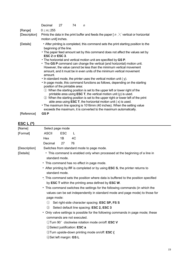|               | Decimal                         | 27                                                        | 74 | n                                                                                                                                                                                                                                                                                                                                                                                                                                                                                                                                                                                                                                                                                                                                                                                                                                                                                                                                                                                                                                                                                                             |
|---------------|---------------------------------|-----------------------------------------------------------|----|---------------------------------------------------------------------------------------------------------------------------------------------------------------------------------------------------------------------------------------------------------------------------------------------------------------------------------------------------------------------------------------------------------------------------------------------------------------------------------------------------------------------------------------------------------------------------------------------------------------------------------------------------------------------------------------------------------------------------------------------------------------------------------------------------------------------------------------------------------------------------------------------------------------------------------------------------------------------------------------------------------------------------------------------------------------------------------------------------------------|
| [Range]       | $0 \le n \le 255$               |                                                           |    |                                                                                                                                                                                                                                                                                                                                                                                                                                                                                                                                                                                                                                                                                                                                                                                                                                                                                                                                                                                                                                                                                                               |
| [Description] | motion unit] inches.            |                                                           |    | Prints the data in the print buffer and feeds the paper [ $n \times$ vertical or horizontal                                                                                                                                                                                                                                                                                                                                                                                                                                                                                                                                                                                                                                                                                                                                                                                                                                                                                                                                                                                                                   |
| [Details]     | ESC $2$ or ESC $3$ .<br>amount. | beginning of the line.<br>position of the printable area: |    | • After printing is completed, this command sets the print starting position to the<br>• The paper feed amount set by this command does not affect the values set by<br>• The horizontal and vertical motion unit are specified by GS P.<br>• The GS P command can change the vertical (and horizontal) motion unit.<br>However, the value cannot be less than the minimum vertical movement<br>amount, and it must be in even units of the minimum vertical movement<br>• In standard mode, the printer uses the vertical motion unit (y).<br>• In page mode, this command functions as follows, depending on the starting<br>1) When the starting position is set to the upper left or lower right of the<br>printable area using <b>ESC T</b> , the vertical motion unit $(y)$ is used.<br>2 When the starting position is set to the upper right or lower left of the print<br>able area using <b>ESC T</b> , the horizontal motion unit $(x)$ is used.<br>• The maximum line spacing is 1016mm (40 inches). When the setting value<br>exceeds the maximum, it is converted to the maximum automatically. |
| [Reference]   | GS P                            |                                                           |    |                                                                                                                                                                                                                                                                                                                                                                                                                                                                                                                                                                                                                                                                                                                                                                                                                                                                                                                                                                                                                                                                                                               |

# **ESC L (\*)**

| [Name]        | Select page mode                      |                                                             |                                                                    |                                                                                                                                                                                                                                                                                                                                                                                                                                                                                                                                                                                                                                                                                                                                                                                                                        |  |
|---------------|---------------------------------------|-------------------------------------------------------------|--------------------------------------------------------------------|------------------------------------------------------------------------------------------------------------------------------------------------------------------------------------------------------------------------------------------------------------------------------------------------------------------------------------------------------------------------------------------------------------------------------------------------------------------------------------------------------------------------------------------------------------------------------------------------------------------------------------------------------------------------------------------------------------------------------------------------------------------------------------------------------------------------|--|
| [Format]      | <b>ASCII</b>                          | <b>ESC</b>                                                  | L                                                                  |                                                                                                                                                                                                                                                                                                                                                                                                                                                                                                                                                                                                                                                                                                                                                                                                                        |  |
|               | Hex                                   | 1B                                                          | 4C                                                                 |                                                                                                                                                                                                                                                                                                                                                                                                                                                                                                                                                                                                                                                                                                                                                                                                                        |  |
|               | Decimal                               | 27                                                          | 76                                                                 |                                                                                                                                                                                                                                                                                                                                                                                                                                                                                                                                                                                                                                                                                                                                                                                                                        |  |
| [Description] |                                       |                                                             |                                                                    | Switches from standard mode to page mode.                                                                                                                                                                                                                                                                                                                                                                                                                                                                                                                                                                                                                                                                                                                                                                              |  |
| [Details]     | page mode:<br>$\left(1\right)$<br>(2) | standard mode.<br>standard mode.<br>4 Set left margin: GS L | commands are not executed.<br>2 Select justification: <b>ESC a</b> | • This command is enabled only when processed at the beginning of a line in<br>• This command has no effect in page mode.<br>• After printing by FF is completed or by using ESC S, the printer returns to<br>• This command sets the position where data is buffered to the position specified<br>by ESC T within the printing area defined by ESC W.<br>• This command switches the settings for the following commands (in which the<br>values can be set independently in standard mode and page mode) to those for<br>Set right-side character spacing: ESC SP, FS S<br>Select default line spacing: ESC 2, ESC 3<br>• Only valve settings is possible for the following commands in page mode; these<br>1) Turn 90° clockwise rotation mode on/off: ESC V<br><b>Turn upside-down printing mode on/off: ESC {</b> |  |
|               |                                       |                                                             |                                                                    |                                                                                                                                                                                                                                                                                                                                                                                                                                                                                                                                                                                                                                                                                                                                                                                                                        |  |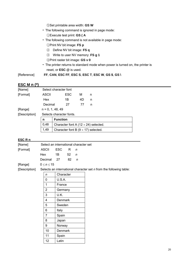⑤Set printable area width: **GS W** 

- The following command is ignored in page mode: ①Execute test print: **GS ( A**
- The following command is not available in page mode: ①Print NV bit image: **FS p** 
	- ② Define NV bit image: **FS q**
	- ③ Write to user NV memory: **FS g 1**
	- ④Print raster bit image: **GS v 0**
- The printer returns to standard mode when power is turned on, the printer is reset, or **ESC @** is used.

[Reference] **FF**, **CAN**, **ESC FF**, **ESC S**, **ESC T**, **ESC W**, **GS \$**, **GS \**

# **ESC M n (\*)**

| [Name]   |                    | Select character font |    |   |  |  |  |
|----------|--------------------|-----------------------|----|---|--|--|--|
| [Format] | ASCII              | ESC                   | м  | n |  |  |  |
|          | Hex                | 1Β                    | 4D | n |  |  |  |
|          | Decimal            | 27                    | 77 | n |  |  |  |
| [Range]  | $n = 0, 1, 48, 49$ |                       |    |   |  |  |  |

[Description]

| Selects character fonts. |                                             |  |  |  |
|--------------------------|---------------------------------------------|--|--|--|
| n                        | <b>Function</b>                             |  |  |  |
| 0.48                     | Character font A (12 $\times$ 24) selected. |  |  |  |
| 1.49                     | Character font B $(9 \times 17)$ selected.  |  |  |  |

#### **ESC R n**

| [Name]        | Select an international character set |     |              |                                                                      |  |  |  |  |  |
|---------------|---------------------------------------|-----|--------------|----------------------------------------------------------------------|--|--|--|--|--|
| [Format]      | ASCII                                 | ESC | $R$ n        |                                                                      |  |  |  |  |  |
|               | Hex                                   | 1B  | $52 \quad n$ |                                                                      |  |  |  |  |  |
|               | Decimal 27                            |     |              | 82 n                                                                 |  |  |  |  |  |
| [Range]       | $0 \le n \le 15$                      |     |              |                                                                      |  |  |  |  |  |
| [Description] |                                       |     |              | Selects an international character set $n$ from the following table: |  |  |  |  |  |

| n              | Character |
|----------------|-----------|
| 0              | U.S.A.    |
| 1              | France    |
| $\overline{2}$ | Germany   |
| 3              | U.K.      |
| 4              | Denmark   |
| 5              | Sweden    |
| 6              | Italy     |
| $\overline{7}$ |           |
|                | Spain     |
| 8              | Japan     |
| 9              | Norway    |
| 10             | Denmark   |
| 11             | Spain     |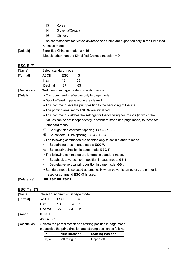| 13 | Korea            |
|----|------------------|
| 14 | Slovenia/Croatia |
| 15 | Chinese          |

The character sets for Slovenia/Croatia and China are supported only in the Simplified Chinese model.

[Default] Simplified Chinese model: *n* = 15

Models other than the Simplified Chinese model: *n* = 0

# **ESC S (\*)**

| [Name]                                                   | Select standard mode                                                          |            |                                                                                   |  |  |  |  |  |
|----------------------------------------------------------|-------------------------------------------------------------------------------|------------|-----------------------------------------------------------------------------------|--|--|--|--|--|
| [Format]                                                 | <b>ASCII</b>                                                                  | <b>ESC</b> | S                                                                                 |  |  |  |  |  |
|                                                          | Hex                                                                           | 1B         | 53                                                                                |  |  |  |  |  |
|                                                          | Decimal                                                                       | 27         | 83                                                                                |  |  |  |  |  |
| [Description]                                            |                                                                               |            | Switches from page mode to standard mode.                                         |  |  |  |  |  |
| [Details]                                                |                                                                               |            | • This command is effective only in page mode.                                    |  |  |  |  |  |
|                                                          |                                                                               |            | • Data buffered in page mode are cleared.                                         |  |  |  |  |  |
|                                                          |                                                                               |            | • This command sets the print position to the beginning of the line.              |  |  |  |  |  |
| • The printing area set by <b>ESC W</b> are initialized. |                                                                               |            |                                                                                   |  |  |  |  |  |
|                                                          | • This command switches the settings for the following commands (in which the |            |                                                                                   |  |  |  |  |  |
|                                                          | values can be set independently in standard mode and page mode) to those for  |            |                                                                                   |  |  |  |  |  |
|                                                          | standard mode:                                                                |            |                                                                                   |  |  |  |  |  |
|                                                          | (1)                                                                           |            | Set right-side character spacing: ESC SP, FS S                                    |  |  |  |  |  |
|                                                          | (2)                                                                           |            | Select default line spacing: ESC 2, ESC 3                                         |  |  |  |  |  |
|                                                          | • The following commands are enabled only to set in standard mode.            |            |                                                                                   |  |  |  |  |  |
|                                                          | Set printing area in page mode: ESC W<br>(1)                                  |            |                                                                                   |  |  |  |  |  |
|                                                          | Select print direction in page mode: ESC T<br>(2)                             |            |                                                                                   |  |  |  |  |  |
|                                                          |                                                                               |            | • The following commands are ignored in standard mode.                            |  |  |  |  |  |
|                                                          | (1)                                                                           |            | Set absolute vertical print position in page mode: GS \$                          |  |  |  |  |  |
|                                                          | (2)                                                                           |            | Set relative vertical print position in page mode: GS \                           |  |  |  |  |  |
|                                                          |                                                                               |            | • Standard mode is selected automatically when power is turned on, the printer is |  |  |  |  |  |
|                                                          |                                                                               |            | reset, or command <b>ESC</b> @ is used.                                           |  |  |  |  |  |
| [Reference]                                              | FF, ESC FF, ESC L                                                             |            |                                                                                   |  |  |  |  |  |

# **ESC T n (\*)**

| [Name]        | Select print direction in page mode |      |                        |   |                                                                    |  |  |
|---------------|-------------------------------------|------|------------------------|---|--------------------------------------------------------------------|--|--|
| [Format]      | <b>ASCII</b>                        | ESC. |                        | n |                                                                    |  |  |
|               | Hex                                 | 1Β   | 54                     | n |                                                                    |  |  |
|               | Decimal                             | 27   | 84                     | n |                                                                    |  |  |
| [Range]       | $0 \le n \le 3$                     |      |                        |   |                                                                    |  |  |
|               | $48 \le n \le 51$                   |      |                        |   |                                                                    |  |  |
| [Description] |                                     |      |                        |   | Selects the print direction and starting position in page mode.    |  |  |
|               |                                     |      |                        |   | in specifies the print direction and starting position as follows: |  |  |
|               | n                                   |      | <b>Print Direction</b> |   | <b>Starting Position</b>                                           |  |  |
|               | 0, 48                               |      | Left to right          |   | Upper left                                                         |  |  |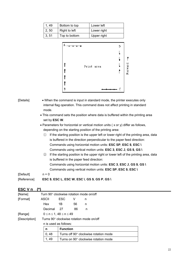| 1.49  | Bottom to top | Lower left  |
|-------|---------------|-------------|
| 2, 50 | Right to left | Lower right |
| 3, 51 | Top to bottom | Upper right |

| д |            |  | D  |         |
|---|------------|--|----|---------|
|   |            |  |    |         |
|   |            |  |    |         |
|   | Print area |  |    |         |
|   |            |  |    | Forward |
|   |            |  |    |         |
|   |            |  |    |         |
| В |            |  | -C |         |
|   |            |  |    |         |

| [Details] | • When the command is input in standard mode, the printer executes only    |
|-----------|----------------------------------------------------------------------------|
|           | internal flag operation. This command does not affect printing in standard |
|           | mode.                                                                      |

• This command sets the position where data is buffered within the printing area set by **ESC W**.

• Parameters for horizontal or vertical motion units ( x or y) differ as follows, depending on the starting position of the printing area:

① If the starting position is the upper left or lower right of the printing area, data is buffered in the direction perpendicular to the paper feed direction: Commands using horizontal motion units: **ESC SP**, **ESC \$**, **ESC \**  Commands using vertical motion units: **ESC 3**, **ESC J**, **GS \$**, **GS \** 

| 2 If the starting position is the upper right or lower left of the printing area, data |
|----------------------------------------------------------------------------------------|
| is buffered in the paper feed direction:                                               |
| Commands using horizontal motion units: ESC 3, ESC J, GS \$, GS \                      |
| Commands using vertical motion units: ESC SP, ESC \$, ESC \                            |
|                                                                                        |

[Default] n = 0 [Reference] **ESC \$**, **ESC L**, **ESC W**, **ESC \**, **GS \$**, **GS P**, **GS \** 

# **ESC V n (\*)**

| [Name]        |                                               |                 | Turn 90 $^{\circ}$ clockwise rotation mode on/off |   |  |  |  |  |  |  |  |
|---------------|-----------------------------------------------|-----------------|---------------------------------------------------|---|--|--|--|--|--|--|--|
| [Format]      | <b>ASCII</b>                                  | ESC             | v                                                 | n |  |  |  |  |  |  |  |
|               | Hex                                           | 1Β              | 56                                                | n |  |  |  |  |  |  |  |
|               | Decimal                                       | 27              | 86                                                | n |  |  |  |  |  |  |  |
| [Range]       | $0 \le n \le 1$ , $48 \le n \le 49$           |                 |                                                   |   |  |  |  |  |  |  |  |
| [Description] | Turns 90° clockwise rotation mode on/off      |                 |                                                   |   |  |  |  |  |  |  |  |
|               | n is used as follows:                         |                 |                                                   |   |  |  |  |  |  |  |  |
|               | n                                             | <b>Function</b> |                                                   |   |  |  |  |  |  |  |  |
|               | 0, 48                                         |                 | Turns off 90° clockwise rotation mode             |   |  |  |  |  |  |  |  |
|               | 1, 49<br>Turns on 90° clockwise rotation mode |                 |                                                   |   |  |  |  |  |  |  |  |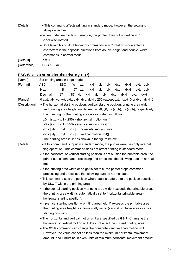| • This command affects printing in standard mode. However, the setting is<br>always effective. |  |  |  |  |  |  |  |
|------------------------------------------------------------------------------------------------|--|--|--|--|--|--|--|
| • When underline mode is turned on, the printer does not underline $90^{\circ}$                |  |  |  |  |  |  |  |
| clockwise-rotated.                                                                             |  |  |  |  |  |  |  |
| • Double-width and double-height commands in 90° rotation mode enlarge                         |  |  |  |  |  |  |  |
| characters in the opposite directions from double-height and double- width                     |  |  |  |  |  |  |  |
| commands in normal mode.                                                                       |  |  |  |  |  |  |  |
| $n = 0$                                                                                        |  |  |  |  |  |  |  |
| ESC !, ESC $-$                                                                                 |  |  |  |  |  |  |  |
|                                                                                                |  |  |  |  |  |  |  |

#### **ESC W xL xH yL yH dxL dxH dyL dyH (\*)**

| [Name]        | Set printing area in page mode                                                                                                                                      |                                                                                                                         |       |    |    |          |     |     |     |         |     |  |  |
|---------------|---------------------------------------------------------------------------------------------------------------------------------------------------------------------|-------------------------------------------------------------------------------------------------------------------------|-------|----|----|----------|-----|-----|-----|---------|-----|--|--|
| [Format]      | ASC II                                                                                                                                                              | <b>ESC</b>                                                                                                              | W     | xL | хH | yL       | уH  | dxL | dxH | dyL     | dyH |  |  |
|               | Hex                                                                                                                                                                 | 1B                                                                                                                      | 57    | xL | xH | yL       | уH  | dxL | dxH | dyL dyH |     |  |  |
|               | Decimal                                                                                                                                                             | 27                                                                                                                      | 87 xL | xH |    | yL<br>yH | dxL |     | dxH | dyL     | dyH |  |  |
| [Range]       | $0 \le xL$ , xH, yL, yH, dxL, dxH, dyL, dyH $\le$ 255 (except dxL= dxH=0 or dyL= dyH=0)                                                                             |                                                                                                                         |       |    |    |          |     |     |     |         |     |  |  |
| [Description] | . The horizontal starting position, vertical starting position, printing area width,                                                                                |                                                                                                                         |       |    |    |          |     |     |     |         |     |  |  |
|               | and printing area height are defined as x0, y0, dx (inch), dy (inch), respectively.                                                                                 |                                                                                                                         |       |    |    |          |     |     |     |         |     |  |  |
|               | Each setting for the printing area is calculated as follows:                                                                                                        |                                                                                                                         |       |    |    |          |     |     |     |         |     |  |  |
|               | $x0 = [(xL + xH \times 256) \times (horizontal motion unit)]$                                                                                                       |                                                                                                                         |       |    |    |          |     |     |     |         |     |  |  |
|               | $y0 = [(yL + yH \times 256) \times (vertical motion unit)]$                                                                                                         |                                                                                                                         |       |    |    |          |     |     |     |         |     |  |  |
|               | $dx = [dxL + dxH \times 256] \times (horizontal motion unit)]$                                                                                                      |                                                                                                                         |       |    |    |          |     |     |     |         |     |  |  |
|               | $dy = [ dyL + dyH \times 256] \times (vertical motion unit)]$                                                                                                       |                                                                                                                         |       |    |    |          |     |     |     |         |     |  |  |
|               | The printing area is set as shown in the figure below.                                                                                                              |                                                                                                                         |       |    |    |          |     |     |     |         |     |  |  |
| [Details]     | • If this command is input in standard mode, the printer executes only internal                                                                                     |                                                                                                                         |       |    |    |          |     |     |     |         |     |  |  |
|               | flag operation. This command does not affect printing in standard mode.<br>• If the horizontal or vertical starting position is set outside the printable area, the |                                                                                                                         |       |    |    |          |     |     |     |         |     |  |  |
|               | printer stops command processing and processes the following data as normal                                                                                         |                                                                                                                         |       |    |    |          |     |     |     |         |     |  |  |
|               | data.                                                                                                                                                               |                                                                                                                         |       |    |    |          |     |     |     |         |     |  |  |
|               | • If the printing area width or height is set to 0, the printer stops command                                                                                       |                                                                                                                         |       |    |    |          |     |     |     |         |     |  |  |
|               | processing and processes the following data as normal data.                                                                                                         |                                                                                                                         |       |    |    |          |     |     |     |         |     |  |  |
|               |                                                                                                                                                                     |                                                                                                                         |       |    |    |          |     |     |     |         |     |  |  |
|               |                                                                                                                                                                     | • This command sets the position where data is buffered to the position specified<br>by ESC T within the printing area. |       |    |    |          |     |     |     |         |     |  |  |
|               | • If (horizontal starting position + printing area width) exceeds the printable area,                                                                               |                                                                                                                         |       |    |    |          |     |     |     |         |     |  |  |
|               | the printing area width is automatically set to (horizontal printable area -                                                                                        |                                                                                                                         |       |    |    |          |     |     |     |         |     |  |  |
|               | horizontal starting position).                                                                                                                                      |                                                                                                                         |       |    |    |          |     |     |     |         |     |  |  |
|               | • If (vertical starting position + printing area height) exceeds the printable area,                                                                                |                                                                                                                         |       |    |    |          |     |     |     |         |     |  |  |
|               | the printing area height is automatically set to (vertical printable area - vertical                                                                                |                                                                                                                         |       |    |    |          |     |     |     |         |     |  |  |
|               | starting position).                                                                                                                                                 |                                                                                                                         |       |    |    |          |     |     |     |         |     |  |  |
|               | • The horizontal and vertical motion unit are specified by GS P. Changing the                                                                                       |                                                                                                                         |       |    |    |          |     |     |     |         |     |  |  |
|               | horizontal or vertical motion unit does not affect the current printing area.                                                                                       |                                                                                                                         |       |    |    |          |     |     |     |         |     |  |  |
|               | • The GS P command can change the horizontal (and vertical) motion unit.                                                                                            |                                                                                                                         |       |    |    |          |     |     |     |         |     |  |  |
|               | However, the value cannot be less than the minimum horizontal movement                                                                                              |                                                                                                                         |       |    |    |          |     |     |     |         |     |  |  |
|               | amount, and it must be in even units of minimum horizontal movement amount.                                                                                         |                                                                                                                         |       |    |    |          |     |     |     |         |     |  |  |
|               |                                                                                                                                                                     |                                                                                                                         |       |    |    |          |     |     |     |         |     |  |  |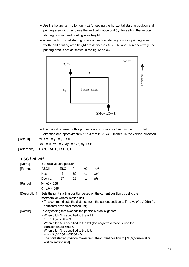- Use the horizontal motion unit ( x) for setting the horizontal starting position and printing area width, and use the vertical motion unit ( y) for setting the vertical starting position and printing area height.
- When the horizontal starting position , vertical starting position, printing area width, and printing area height are defined as X, Y, Dx, and Dy respectively, the printing area is set as shown in the figure below.



• This printable area for this printer is approximately 72 mm in the horizontal direction and approximately 117.3 mm (1662/360 inches) in the vertical direction.

| [Default] | $xL = xH = yL = yH = 0$                         |
|-----------|-------------------------------------------------|
|           | $dxL = 0$ , $dxH = 2$ , $dyL = 126$ , $dyH = 6$ |
|           | [Reference] CAN, ESC L, ESC T, GS P             |

# $ESC \setminus nL$   $nH$

|               | Set relative print position               |                                                                                                                                                                                                                                                                 |           |    |                                                                                                                                                                                                                                          |  |  |  |  |  |  |
|---------------|-------------------------------------------|-----------------------------------------------------------------------------------------------------------------------------------------------------------------------------------------------------------------------------------------------------------------|-----------|----|------------------------------------------------------------------------------------------------------------------------------------------------------------------------------------------------------------------------------------------|--|--|--|--|--|--|
| [Name]        |                                           |                                                                                                                                                                                                                                                                 |           |    |                                                                                                                                                                                                                                          |  |  |  |  |  |  |
| [Format]      | <b>ASCII</b>                              | <b>ESC</b>                                                                                                                                                                                                                                                      | $\lambda$ | nL | nН                                                                                                                                                                                                                                       |  |  |  |  |  |  |
|               | Hex                                       | 1B                                                                                                                                                                                                                                                              | 5C        | nL | пH                                                                                                                                                                                                                                       |  |  |  |  |  |  |
|               | Decimal                                   | 27                                                                                                                                                                                                                                                              | 92        | nL | nН                                                                                                                                                                                                                                       |  |  |  |  |  |  |
| [Range]       | $0 \leq nL \leq 255$                      |                                                                                                                                                                                                                                                                 |           |    |                                                                                                                                                                                                                                          |  |  |  |  |  |  |
|               | 0 < nH < 255                              |                                                                                                                                                                                                                                                                 |           |    |                                                                                                                                                                                                                                          |  |  |  |  |  |  |
| [Description] |                                           | Sets the print starting position based on the current position by using the<br>horizontal or vertical motion unit.<br>• This command sets the distance from the current position to [( $nL$ + $nH \times 256$ ) $\times$<br>horizontal or vertical motion unit] |           |    |                                                                                                                                                                                                                                          |  |  |  |  |  |  |
| [Details]     | • When pitch N is specified to the right: | $nL+ nH \times 256 = N$<br>complement of 65536.<br>When pitch N is specified to the left:<br>$nL+ nH \times 256 = 65536 - N$<br>vertical motion unit]                                                                                                           |           |    | • Any setting that exceeds the printable area is ignored.<br>When pitch N is specified to the left (the negative direction), use the<br>• The print starting position moves from the current position to $\lceil N \rceil$ horizontal or |  |  |  |  |  |  |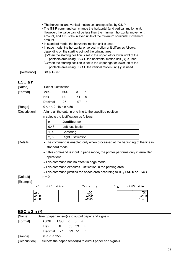- The horizontal and vertical motion unit are specified by **GS P**.
- The **GS P** command can change the horizontal (and vertical) motion unit. However, the value cannot be less than the minimum horizontal movement amount, and it must be in even units of the minimum horizontal movement amount.
- In standard mode, the horizontal motion unit is used.
- In page mode, the horizontal or vertical motion unit differs as follows, depending on the starting point of the printing area:
- ①When the starting position is set to the upper left or lower right of the printable area using **ESC T**, the horizontal motion unit ( x) is used. ②When the starting position is set to the upper right or lower left of the printable area using **ESC T**, the vertical motion unit ( y) is used.

[Reference] **ESC \$**, **GS P** 

# **ESC a n**

| EJU 4 II      |               |                      |                                         |                                                                              |                                                           |                                                                                  |               |  |  |  |  |
|---------------|---------------|----------------------|-----------------------------------------|------------------------------------------------------------------------------|-----------------------------------------------------------|----------------------------------------------------------------------------------|---------------|--|--|--|--|
| [Name]        |               | Select justification |                                         |                                                                              |                                                           |                                                                                  |               |  |  |  |  |
| [Format]      |               | <b>ASCII</b>         | <b>ESC</b>                              | a                                                                            | n                                                         |                                                                                  |               |  |  |  |  |
|               |               | Hex                  | 1B                                      | 61                                                                           | n                                                         |                                                                                  |               |  |  |  |  |
|               |               | Decimal              | 27                                      | 97                                                                           | n                                                         |                                                                                  |               |  |  |  |  |
| [Range]       |               |                      | $0 \le n \le 2, 48 \le n \le 50$        |                                                                              |                                                           |                                                                                  |               |  |  |  |  |
| [Description] |               |                      |                                         |                                                                              | Aligns all the data in one line to the specified position |                                                                                  |               |  |  |  |  |
|               |               |                      | n selects the justification as follows: |                                                                              |                                                           |                                                                                  |               |  |  |  |  |
|               |               | n                    |                                         | <b>Justification</b>                                                         |                                                           |                                                                                  |               |  |  |  |  |
|               |               | 0,48                 |                                         | Left justification                                                           |                                                           |                                                                                  |               |  |  |  |  |
|               |               | 1, 49                | Centering                               |                                                                              |                                                           |                                                                                  |               |  |  |  |  |
|               |               | 2, 50                |                                         | Right justification                                                          |                                                           |                                                                                  |               |  |  |  |  |
| [Details]     |               |                      |                                         | • The command is enabled only when processed at the beginning of the line in |                                                           |                                                                                  |               |  |  |  |  |
|               |               |                      | standard mode.                          |                                                                              |                                                           |                                                                                  |               |  |  |  |  |
|               |               |                      |                                         |                                                                              |                                                           | • If this command is input in page mode, the printer performs only internal flag |               |  |  |  |  |
|               |               | operations.          |                                         |                                                                              |                                                           |                                                                                  |               |  |  |  |  |
|               |               |                      |                                         |                                                                              | • This command has no effect in page mode.                |                                                                                  |               |  |  |  |  |
|               |               |                      |                                         |                                                                              |                                                           | • This command executes justification in the printing area.                      |               |  |  |  |  |
|               |               |                      |                                         |                                                                              |                                                           | • This command justifies the space area according to HT, ESC \$ or ESC \.        |               |  |  |  |  |
| [Default]     |               | $n = 0$              |                                         |                                                                              |                                                           |                                                                                  |               |  |  |  |  |
| [Example]     |               |                      |                                         |                                                                              |                                                           |                                                                                  |               |  |  |  |  |
|               |               | Left justification   |                                         |                                                                              | Centering                                                 | Right justification                                                              |               |  |  |  |  |
|               | ABC           |                      |                                         |                                                                              | ABC                                                       |                                                                                  | AВC           |  |  |  |  |
|               | ABCD<br>ABCDE |                      |                                         |                                                                              | <b>ABCD</b><br>ABCDE                                      |                                                                                  | ABCD<br>ABCDE |  |  |  |  |
|               |               |                      |                                         |                                                                              |                                                           |                                                                                  |               |  |  |  |  |
|               |               |                      |                                         |                                                                              |                                                           |                                                                                  |               |  |  |  |  |

# **ESC c 3 n (\*)**

| [Name]        | Select paper sensor(s) to output paper end signals |                                                         |  |       |  |  |  |  |  |  |  |  |
|---------------|----------------------------------------------------|---------------------------------------------------------|--|-------|--|--|--|--|--|--|--|--|
| [Format]      | ASCII                                              | $\text{ESC}$ c 3 n                                      |  |       |  |  |  |  |  |  |  |  |
|               | Hex                                                | 1B                                                      |  | 63 33 |  |  |  |  |  |  |  |  |
|               | Decimal 27                                         |                                                         |  | 99 51 |  |  |  |  |  |  |  |  |
| [Range]       | $0 \leq n \leq 255$                                |                                                         |  |       |  |  |  |  |  |  |  |  |
| [Description] |                                                    | Selects the paper sensor(s) to output paper end signals |  |       |  |  |  |  |  |  |  |  |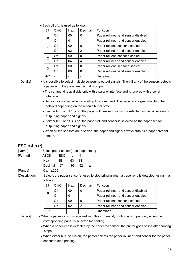| <b>Bit</b> | Off/On | Hex | Decimal | Function                            |  |  |  |  |  |
|------------|--------|-----|---------|-------------------------------------|--|--|--|--|--|
| 0          | Off    | 00  | 0       | Paper roll near-end sensor disabled |  |  |  |  |  |
|            | On     | 01  | 1       | Paper roll near-end sensor enabled  |  |  |  |  |  |
|            | Off    | 00  | 0       | Paper roll end sensor disabled      |  |  |  |  |  |
|            | On     | 02  | 2       | Paper roll near-end sensor enabled  |  |  |  |  |  |
|            | Off    | 00  | 0       | Paper roll end sensor disabled      |  |  |  |  |  |
| 2          | On     | 04  | 4       | Paper roll near-end sensor enabled  |  |  |  |  |  |
| 3          | Off    | 00  | 0       | Paper roll end sensor disabled      |  |  |  |  |  |
|            | On     | 08  | 8       | Paper roll near-end sensor enabled  |  |  |  |  |  |
| 4-7        |        |     |         | Undefined                           |  |  |  |  |  |

• Each bit of *n* is used as follows:

- [Details] It is possible to select multiple sensors to output signals. Then, if any of the sensors detects a paper end, the paper end signal is output.
	- The command is available only with a parallel interface and is ignored with a serial interface.
	- Sensor is switched when executing this command. The paper end signal switching be delayed depending on the receive buffer state.
	- If either bit 0 or bit 1 is on, the paper roll near-end sensor is selected as the paper sensor outputting paper-end signals
	- If either bit 2 or bit 3 is on, the paper roll end sensor is selected as the paper sensor outputting paper-end signals.
	- When all the sensors are disabled, the paper end signal always outputs a paper present status.

| [Name]        |                     | Select paper sensor(s) to stop printing       |     |                |         |                                                                                                  |  |  |
|---------------|---------------------|-----------------------------------------------|-----|----------------|---------|--------------------------------------------------------------------------------------------------|--|--|
| [Format]      | <b>ASCII</b>        | <b>ESC</b>                                    | C   | 4              | n       |                                                                                                  |  |  |
|               | Hex                 | 1B                                            | 63  | 34             | n       |                                                                                                  |  |  |
|               | Decimal             | 27                                            | 99  | 52             | n       |                                                                                                  |  |  |
| [Range]       | $0 \leq n \leq 255$ |                                               |     |                |         |                                                                                                  |  |  |
| [Description] |                     |                                               |     |                |         | Selects the paper sensor(s) used to stop printing when a paper-end is detected, using $n$ as     |  |  |
|               | follows:            |                                               |     |                |         |                                                                                                  |  |  |
|               | Bit                 | Off/On                                        | Hex |                | Decimal | Function                                                                                         |  |  |
|               | $\mathbf 0$         | Off                                           | 00  | $\mathbf 0$    |         | Paper roll near-end sensor disabled                                                              |  |  |
|               |                     | On                                            | 01  | 1              |         | Paper roll near-end sensor enabled                                                               |  |  |
|               | 1                   | Off                                           | 00  | $\mathbf{0}$   |         | Paper roll end sensor disabled                                                                   |  |  |
|               |                     | On                                            | 02  | $\overline{2}$ |         | Paper roll near-end sensor enabled                                                               |  |  |
|               | $2 - 7$             |                                               |     |                |         | Undefined                                                                                        |  |  |
| [Details]     |                     |                                               |     |                |         | • When a paper sensor is enabled with this command, printing is stopped only when the            |  |  |
|               |                     | corresponding paper is selected for printing. |     |                |         |                                                                                                  |  |  |
|               |                     |                                               |     |                |         | • When a paper-end is detected by the paper roll sensor, the printer goes offline after printing |  |  |
|               | stops.              |                                               |     |                |         |                                                                                                  |  |  |
|               |                     |                                               |     |                |         | • When either bit 0 or 1 is on, the printer selects the paper roll near-end sensor for the paper |  |  |
|               |                     | sensor to stop printing.                      |     |                |         |                                                                                                  |  |  |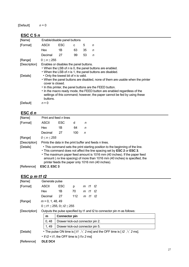# [Default] *n* = 0

# **ESC C 5** *n*

| [Name]        |                                                                                                                                                                                                                                                                                                                                                                               | Enable/disable panel buttons |    |    |   |  |  |
|---------------|-------------------------------------------------------------------------------------------------------------------------------------------------------------------------------------------------------------------------------------------------------------------------------------------------------------------------------------------------------------------------------|------------------------------|----|----|---|--|--|
| [Format]      | <b>ASCII</b>                                                                                                                                                                                                                                                                                                                                                                  | ESC                          | с  | 5  | n |  |  |
|               | <b>Hex</b>                                                                                                                                                                                                                                                                                                                                                                    | 1B                           | 63 | 35 | n |  |  |
|               | Decimal                                                                                                                                                                                                                                                                                                                                                                       | 27                           | 99 | 53 | n |  |  |
| [Range]       | 0 < n < 255                                                                                                                                                                                                                                                                                                                                                                   |                              |    |    |   |  |  |
| [Description] | Enables or disables the panel buttons.<br>• When the LSB of $n$ is 0, the panel buttons are enabled.<br>• When the LSB of $n$ is 1, the panel buttons are disabled.                                                                                                                                                                                                           |                              |    |    |   |  |  |
| [Details]     | • Only the lowest bit of n is valid.<br>• When the panel buttons are disabled, none of them are usable when the printer<br>cover is closed.<br>• In this printer, the panel buttons are the FEED button.<br>• In the macro ready mode, the FEED button are enabled regardless of the<br>settings of this command; however, the paper cannot be fed by using these<br>buttons. |                              |    |    |   |  |  |
| [Default]     | $n = 0$                                                                                                                                                                                                                                                                                                                                                                       |                              |    |    |   |  |  |

# **ESC d** *n*

| [Name]        | Print and feed <i>n</i> lines |                                                                                                                                                                                                                                                                                                                                                                          |     |   |  |  |
|---------------|-------------------------------|--------------------------------------------------------------------------------------------------------------------------------------------------------------------------------------------------------------------------------------------------------------------------------------------------------------------------------------------------------------------------|-----|---|--|--|
| [Format]      | <b>ASCII</b>                  | <b>ESC</b>                                                                                                                                                                                                                                                                                                                                                               | d   | n |  |  |
|               | Hex                           | 1Β                                                                                                                                                                                                                                                                                                                                                                       | 64  | n |  |  |
|               | Decimal                       | 27                                                                                                                                                                                                                                                                                                                                                                       | 100 | n |  |  |
| [Range]       | 0 < n < 255                   |                                                                                                                                                                                                                                                                                                                                                                          |     |   |  |  |
| [Description] |                               | Prints the data in the print buffer and feeds n lines.                                                                                                                                                                                                                                                                                                                   |     |   |  |  |
| [Details]     |                               | • This command sets the print starting position to the beginning of the line.<br>• This command does not affect the line spacing set by ESC 2 or ESC 3.<br>• The maximum paper feed amount is 1016 mm (40 inches). If the paper feed<br>amount (nx line spacing) of more than 1016 mm (40 inches) is specified, the<br>printer feeds the paper only 1016 mm (40 inches). |     |   |  |  |
| [Reference]   | <b>ESC 2, ESC 3</b>           |                                                                                                                                                                                                                                                                                                                                                                          |     |   |  |  |

# **ESC p** *m t1 t2*

| $E_{\rm O}$ $U_{\rm H}$ $U_{\rm L}$ |                                                                               |                                                |                                  |  |         |                                                                         |  |
|-------------------------------------|-------------------------------------------------------------------------------|------------------------------------------------|----------------------------------|--|---------|-------------------------------------------------------------------------|--|
| [Name]                              | Generate pulse                                                                |                                                |                                  |  |         |                                                                         |  |
| [Format]                            | <b>ASCII</b>                                                                  | <b>ESC</b>                                     | p                                |  | m t1 t2 |                                                                         |  |
|                                     | <b>Hex</b>                                                                    | 1B                                             | 70                               |  | m t1 t2 |                                                                         |  |
|                                     | Decimal                                                                       | 27                                             | 112                              |  | m t1 t2 |                                                                         |  |
| [Range]                             | $m = 0, 1, 48, 49$                                                            |                                                |                                  |  |         |                                                                         |  |
|                                     | $0 \le t/1 \le 255$ , $0 \le t/2 \le 255$                                     |                                                |                                  |  |         |                                                                         |  |
| [Description]                       |                                                                               |                                                |                                  |  |         | Outputs the pulse specified by t1 and t2 to connector pin m as follows: |  |
|                                     | m                                                                             | <b>Connector pin</b>                           |                                  |  |         |                                                                         |  |
|                                     | 0,48<br>Drawer kick-out connector pin 2.                                      |                                                |                                  |  |         |                                                                         |  |
|                                     | 1, 49                                                                         |                                                | Drawer kick-out connector pin 5. |  |         |                                                                         |  |
| [Details]                           | • The pulse ON time is [t1 $\chi$ 2 ms] and the OFF time is [t2 $\chi$ 2 ms]. |                                                |                                  |  |         |                                                                         |  |
|                                     |                                                                               | • If $t2 < t1$ , the OFF time is [ $t1x 2$ ms] |                                  |  |         |                                                                         |  |
| [Reference]                         | <b>DLE DC4</b>                                                                |                                                |                                  |  |         |                                                                         |  |
|                                     |                                                                               |                                                |                                  |  |         |                                                                         |  |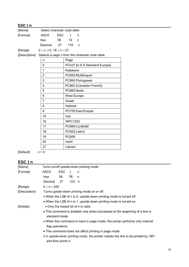| ESC t n         |                                   |            |                |                                                 |  |
|-----------------|-----------------------------------|------------|----------------|-------------------------------------------------|--|
| [Name]          | Select character code table       |            |                |                                                 |  |
| [Format]        | <b>ASCII</b>                      | <b>ESC</b> | t              | $\mathsf{n}$                                    |  |
|                 | Hex                               | 1B         | 74             | $\mathsf{n}$                                    |  |
|                 | Decimal                           | 27         | 116            | $\mathsf{n}$                                    |  |
| [Range]         | $0 \le n \le 10, 16 \le n \le 21$ |            |                |                                                 |  |
| [Description]   |                                   |            |                | Selects a page n from the character code table. |  |
|                 | n                                 |            | Page           |                                                 |  |
|                 | 0                                 |            |                | PC437 [U.S.A.Standard Europe]                   |  |
|                 | 1                                 |            | Katakana       |                                                 |  |
|                 | $\overline{2}$                    |            |                | PC850:Multilingual                              |  |
|                 | 3                                 |            |                | PC860:Portuguese                                |  |
|                 | 4                                 |            |                | PC863 [Canadian French]                         |  |
|                 | 5                                 |            |                | PC865:Nodic                                     |  |
|                 | $6\phantom{a}$                    |            |                | West Europe                                     |  |
|                 | $\overline{7}$                    |            | Greek          |                                                 |  |
|                 | 8                                 |            | Hebrew         |                                                 |  |
|                 | 9                                 |            |                | PC755:East Europe                               |  |
|                 | 10                                |            | Iran           |                                                 |  |
|                 | 16                                |            | <b>WPC1252</b> |                                                 |  |
|                 | 17                                |            |                | PC866:Cyrillic#2                                |  |
|                 | 18                                |            |                | PC852:Latin2                                    |  |
|                 | 19                                |            | PC858          |                                                 |  |
|                 | 20                                |            | IranII         |                                                 |  |
|                 | 21                                |            | Latvian        |                                                 |  |
| $\epsilon$<br>. |                                   |            |                |                                                 |  |

 $[Default]$   $n = 0$ 

# **ESC** { n **n n 1**

| [Name]        | Turns on/off upside-down printing mode                                                                    |     |       |                                                       |  |  |  |
|---------------|-----------------------------------------------------------------------------------------------------------|-----|-------|-------------------------------------------------------|--|--|--|
| [Format]      | <b>ASCII</b>                                                                                              | ESC | ₹     | n                                                     |  |  |  |
|               | Hex                                                                                                       | 1Β  | 7B    | n                                                     |  |  |  |
|               | Decimal                                                                                                   | 27  | 123 n |                                                       |  |  |  |
| [Range]       | $0 \le n \le 255$                                                                                         |     |       |                                                       |  |  |  |
| [Description] |                                                                                                           |     |       | Turns upside-down printing mode on or off.            |  |  |  |
|               | • When the LSB of n is 0, upside-down printing mode is turned off.                                        |     |       |                                                       |  |  |  |
|               | • When the LSB of n is 1, upside-down printing mode is turned on.                                         |     |       |                                                       |  |  |  |
| [Details]     |                                                                                                           |     |       | • Only the lowest bit of n is valid.                  |  |  |  |
|               | • This command is enabled only when processed at the beginning of a line in<br>standard mode.             |     |       |                                                       |  |  |  |
|               | • When this command is input in page mode, the printer performs only internal<br>flag operations.         |     |       |                                                       |  |  |  |
|               |                                                                                                           |     |       | • This command does not affect printing in page mode. |  |  |  |
|               | • In upside-down printing mode, the printer rotates the line to be printed by 180°<br>and then prints it. |     |       |                                                       |  |  |  |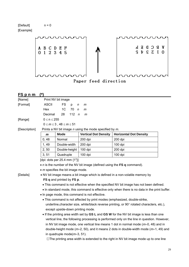[Default] n = 0 [Example]



Paper feed direction

| FS p n m      | (*)                                                                                           |                                                                                            |                                                             |                                                                                              |  |  |  |  |  |
|---------------|-----------------------------------------------------------------------------------------------|--------------------------------------------------------------------------------------------|-------------------------------------------------------------|----------------------------------------------------------------------------------------------|--|--|--|--|--|
| [Name]        |                                                                                               | Print NV bit image                                                                         |                                                             |                                                                                              |  |  |  |  |  |
| [Format]      | <b>ASCII</b>                                                                                  | <b>FS</b><br>p<br>n                                                                        | m                                                           |                                                                                              |  |  |  |  |  |
|               | Hex                                                                                           | 1 <sub>C</sub><br>70<br>$\mathsf{n}$                                                       | m                                                           |                                                                                              |  |  |  |  |  |
|               | Decimal                                                                                       | 112<br>28<br>$\sqrt{n}$                                                                    | m                                                           |                                                                                              |  |  |  |  |  |
| [Range]       | $0 \le n \le 255$                                                                             |                                                                                            |                                                             |                                                                                              |  |  |  |  |  |
|               |                                                                                               | $0 \le m \le 3$ , $48 \le m \le 51$                                                        |                                                             |                                                                                              |  |  |  |  |  |
| [Description] |                                                                                               |                                                                                            | Prints a NV bit image $n$ using the mode specified by $m$ . |                                                                                              |  |  |  |  |  |
|               | $\mathbf{m}$                                                                                  | <b>Mode</b>                                                                                | <b>Vertical Dot Density</b>                                 | <b>Horizontal Dot Density</b>                                                                |  |  |  |  |  |
|               | 0, 48                                                                                         | Normal                                                                                     | 200 dpi                                                     | 200 dpi                                                                                      |  |  |  |  |  |
|               | 1, 49                                                                                         | Double-width                                                                               | 200 dpi                                                     | 100 dpi                                                                                      |  |  |  |  |  |
|               | 2, 50                                                                                         | Double-height                                                                              | 100 dpi                                                     | 200 dpi                                                                                      |  |  |  |  |  |
|               | 3, 51                                                                                         | Quadruple                                                                                  | 100 dpi                                                     | 100 dpi                                                                                      |  |  |  |  |  |
|               | [dpi: dots per 25.4 mm {1"}]                                                                  |                                                                                            |                                                             |                                                                                              |  |  |  |  |  |
|               |                                                                                               | • $n$ is the number of the NV bit image (defined using the FS q command).                  |                                                             |                                                                                              |  |  |  |  |  |
|               | • <i>m</i> specifies the bit image mode.                                                      |                                                                                            |                                                             |                                                                                              |  |  |  |  |  |
| [Details]     |                                                                                               |                                                                                            |                                                             | . NV bit image means a bit image which is defined in a non-volatile memory by                |  |  |  |  |  |
|               |                                                                                               | FS q and printed by FS p.                                                                  |                                                             |                                                                                              |  |  |  |  |  |
|               | . This command is not effective when the specified NV bit image has not been defined.         |                                                                                            |                                                             |                                                                                              |  |  |  |  |  |
|               | . In standard mode, this command is effective only when there is no data in the print buffer. |                                                                                            |                                                             |                                                                                              |  |  |  |  |  |
|               | • In page mode, this command is not effective.                                                |                                                                                            |                                                             |                                                                                              |  |  |  |  |  |
|               | • This command is not affected by print modes (emphasized, double-strike,                     |                                                                                            |                                                             |                                                                                              |  |  |  |  |  |
|               |                                                                                               | underline, character size, white/black reverse printing, or 90° rotated characters, etc.), |                                                             |                                                                                              |  |  |  |  |  |
|               | except upside-down printing mode.                                                             |                                                                                            |                                                             |                                                                                              |  |  |  |  |  |
|               |                                                                                               |                                                                                            |                                                             | . If the printing area width set by GS L and GS W for the NV bit image is less than one      |  |  |  |  |  |
|               |                                                                                               |                                                                                            |                                                             | vertical line, the following processing is performed only on the line in question. However,  |  |  |  |  |  |
|               |                                                                                               |                                                                                            |                                                             | in NV bit image mode, one vertical line means 1 dot in normal mode $(m=0, 48)$ and in        |  |  |  |  |  |
|               |                                                                                               |                                                                                            |                                                             | double-height mode ( $m=2$ , 50), and it means 2 dots in double-width mode ( $m=1$ , 49) and |  |  |  |  |  |
|               |                                                                                               | in quadruple mode( $m=3, 51$ ).                                                            |                                                             |                                                                                              |  |  |  |  |  |
|               |                                                                                               | 1) The printing area width is extended to the right in NV bit image mode up to one line    |                                                             |                                                                                              |  |  |  |  |  |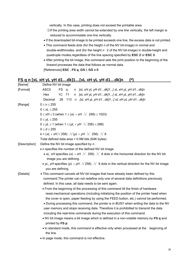vertically. In this case, printing does not exceed the printable area.

- ②If the printing area width cannot be extended by one line vertically, the left margin is reduced to accommodate one line vertically.
- If the downloaded bit-image to be printed exceeds one line, the excess data is not printed.
- This command feeds dots (for the height *n* of the NV bit-image) in normal and double-widthmodes, and (for the height *n* ⋅ 2 of the NV bit-image) in double-height and quadruple modes,regardless of the line spacing specified by **ESC 2** or **ESC 3**.
- After printing the bit image, this command sets the print position to the beginning of the lineand processes the data that follows as normal data. [References] **ESC** , **FS q**, **GS /**, **GS v 0**

# **FS q n [xL xH yL yH d1…dk]1…[xL xH yL yH d1…dk]n (\*)**

| [Name]        | Define NV bit image                                                                                        |  |  |  |  |  |  |  |
|---------------|------------------------------------------------------------------------------------------------------------|--|--|--|--|--|--|--|
| [Format]      | <b>ASCII</b><br>FS q<br>n [xL xH yL yH d1dk]1[xL xH yL yH d1dk]n                                           |  |  |  |  |  |  |  |
|               | n [xL xH yL yH d1dk]1[ xL xH yL yH d1dk]n<br>Hex<br>1C 71                                                  |  |  |  |  |  |  |  |
|               | Decimal<br>28 113 n [xL xH yL yH d1dk]1[ xL xH yL yH d1dk]n                                                |  |  |  |  |  |  |  |
| [Range]       | $0 \le n \le 255$                                                                                          |  |  |  |  |  |  |  |
|               | $0 \le xL \le 255$                                                                                         |  |  |  |  |  |  |  |
|               | 0 ≤ xH ≤ 3 (when 1 ≤ (xL + xH $\chi$ 256) ≤ 1023)                                                          |  |  |  |  |  |  |  |
|               | $0 \le yL \le 255$                                                                                         |  |  |  |  |  |  |  |
|               | $0 \le yL \le 1$ (when 1 ≤ (yL + yH $\angle$ 256) ≤ 288)                                                   |  |  |  |  |  |  |  |
|               | $0 \leq d \leq 255$                                                                                        |  |  |  |  |  |  |  |
|               | k = (xL + xH $\times$ 256) $\times$ (yL + yH $\times$ 256) $\times$ 8                                      |  |  |  |  |  |  |  |
|               | Total defined data area = 0.5M bits (64K bytes)                                                            |  |  |  |  |  |  |  |
| [Description] | Define the NV bit image specified by $n$ .                                                                 |  |  |  |  |  |  |  |
|               | • <i>n</i> specifies the number of the defined NV bit image.                                               |  |  |  |  |  |  |  |
|               | • xL, xH specifies (xL + xH $\times$ 256) $\times$ 8 dots in the horizontal direction for the NV bit       |  |  |  |  |  |  |  |
|               | image you are defining.                                                                                    |  |  |  |  |  |  |  |
|               | • yL, yH specifies (yL + yH $\times$ 256) $\times$ 8 dots in the vertical direction for the NV bit image   |  |  |  |  |  |  |  |
|               | you are defining.                                                                                          |  |  |  |  |  |  |  |
| [Details]     | . This command cancels all NV bit images that have already been defined by this                            |  |  |  |  |  |  |  |
|               | command. The printer can not redefine only one of several data definitions previously                      |  |  |  |  |  |  |  |
|               | defined. In this case, all data needs to be sent again.                                                    |  |  |  |  |  |  |  |
|               | • From the beginning of the processing of this command till the finish of hardware                         |  |  |  |  |  |  |  |
|               | reset, mechanical operations (including initializing the position of the printer head when                 |  |  |  |  |  |  |  |
|               | the cover is open, paper feeding by using the FEED button, etc.) cannot be performed.                      |  |  |  |  |  |  |  |
|               | . During processing this command, the printer is in BUSY when writing the data to the NV                   |  |  |  |  |  |  |  |
|               | user memory and stops receiving data. Therefore it is prohibitted to transmit the data                     |  |  |  |  |  |  |  |
|               | including the real-time commands during the execution of this command.                                     |  |  |  |  |  |  |  |
|               | . NV bit image means a bit image which is defined in a non-volatile memory by FS q and<br>printed by FS p. |  |  |  |  |  |  |  |
|               | • In standard mode, this command is effective only when processed at the<br>beginning of                   |  |  |  |  |  |  |  |
|               | the line.                                                                                                  |  |  |  |  |  |  |  |
|               | • In page mode, this command is not effective.                                                             |  |  |  |  |  |  |  |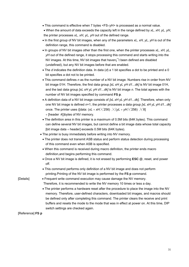- This command is effective when 7 bytes <FS<yH> is processed as a normal value.
- When the amount of data exceeds the capacity left in the range defined by *xL, xH, yL, yH*, the printer processes *xL, xH, yL, yH* out of the defined range.
- In the first group of NV bit images, when any of the parameters *xL, xH, yL, yH* is out of the definition range, this command is disabled.
- In groups of NV bit images other than the first one, when the printer processes *xL, xH, yL, yH* out of the defined range, it stops processing this command and starts writing into the NV images. At this time, NV bit images that haven;<sup>1</sup>t been defined are disabled (undefined), but any NV bit images before that are enabled.
- The *d* indicates the definition data. In data (*d*) a 1 bit specifies a dot to be printed and a 0 bit specifies a dot not to be printed.
- This command defines *n* as the number of a NV bit image. Numbers rise in order from NV bit image 01H. Therefore, the first data group *[xL xH yL yH d1...dk]* is NV bit image 01H, and the last data group *[xL xH yL yH d1...dk]* is NV bit image *n.* The total agrees with the number of NV bit images specified by command **FS p**.
- A definition data of a NV bit image consists of *[xL xH yL yH d1...dk].* Therefore, when only one NV bit image is defined *n*=1, the printer processes a data group *[xL xH yL yH d1...dk]*  once. The printer uses ([data:  $(xL + xH \times 256) \times (yL + yH \times 256) \times 8$ ] + [header :4])bytes of NV memory.
- The definition area in this printer is a maximum of 0.5M bits (64K bytes). This command can define several NV bit images, but cannot define a bit image data whose total capacity [bit image data + header] exceeds  $0.5M$  bits (64K bytes).
- The printer is busy immediately before writing into NV memory.
	- The printer does not transmit ASB status and perform status detection during processing of this command even when ASB is specified.
	- When this command is received during macro definition, the printer ends macro definition,and begins performing this command.
	- Once a NV bit image is defined, it is not erased by performing **ESC @**, reset, and power off.
- This command performs only definition of a NV bit image and does not perform printing.Printing of the NV bit image is performed by the **FS p** command.

[Details] • Frequent write command execution may cause damage the NV memory.

Therefore, it is recommended to write the NV memory 10 times or less a day.

• The printer performs a hardware reset after the procedure to place the image into the NV memory. Therefore, user-defined characters, downloaded bit images, and macros should be defined only after completing this command. The printer clears the receive and print buffers and resets the mode to the mode that was in effect at power on. At this time, DIP switch settings are checked again.

[Reference] **FS p**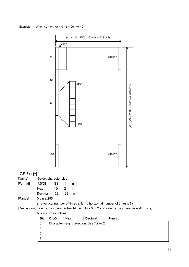[Example] When  $xL = 64$ ,  $xH = 0$ ,  $yL = 96$ ,  $yH = 0$ 



# **GS ! n (\*)**

| [Name]   |         | Select character size |     |   |  |  |
|----------|---------|-----------------------|-----|---|--|--|
| [Format] | ASCII   | GS.                   |     | n |  |  |
|          | Hex     | 1D                    | -21 | n |  |  |
|          | Decimal | -29                   | 33  | n |  |  |
|          |         |                       |     |   |  |  |

<sup>[</sup>Range]  $0 \le n \le 255$ 

(1  $\le$  vertical number of times  $\le$  8, 1  $\le$  horizontal number of times  $\le$  8)

[Description] Selects the character height using bits 0 to 2 and selects the character width using

#### bits 4 to 7, as follows:

| <b>Bit</b> | Off/On                                   | Hex | <b>Decimal</b> | <b>Function</b> |  |  |  |
|------------|------------------------------------------|-----|----------------|-----------------|--|--|--|
| 0          | Character height selection. See Table 2. |     |                |                 |  |  |  |
|            |                                          |     |                |                 |  |  |  |
|            |                                          |     |                |                 |  |  |  |
|            |                                          |     |                |                 |  |  |  |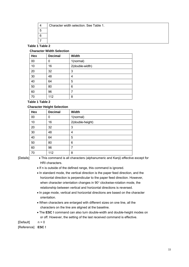| Character width selection. See Table 1. |
|-----------------------------------------|
|                                         |
|                                         |
|                                         |

#### **Table 1 Table 2**

#### **Character Width Selection**

| Hex | <b>Decimal</b> | <b>Width</b>    |
|-----|----------------|-----------------|
| 00  | 0              | 1(normal)       |
| 10  | 16             | 2(double-width) |
| 20  | 32             | 3               |
| 30  | 48             | 4               |
| 40  | 64             | 5               |
| 50  | 80             | 6               |
| 60  | 96             | 7               |
| 70  | 112            | 8               |

#### **Table 1 Table 2**

#### **Character Height Selection**

|     | -              |                  |
|-----|----------------|------------------|
| Hex | <b>Decimal</b> | <b>Width</b>     |
| 00  | 0              | 1(normal)        |
| 10  | 16             | 2(double-height) |
| 20  | 32             | 3                |
| 30  | 48             | 4                |
| 40  | 64             | 5                |
| 50  | 80             | 6                |
| 60  | 96             | 7                |
| 70  | 112            | 8                |

[Details] • This command is all characters (alphanumeric and Kanji) effective except for HRI characters.

• If n is outside of the defined range, this command is ignored.

- In standard mode, the vertical direction is the paper feed direction, and the horizontal direction is perpendicular to the paper feed direction. However, when character orientation changes in 90° clockwise-rotation mode, the relationship between vertical and horizontal directions is reversed.
- In page mode, vertical and horizontal directions are based on the character orientation.
- When characters are enlarged with different sizes on one line, all the characters on the line are aligned at the baseline.
- The **ESC !** command can also turn double-width and double-height modes on or off. However, the setting of the last received command is effective.

[Default] n = 0

[Reference] **ESC !**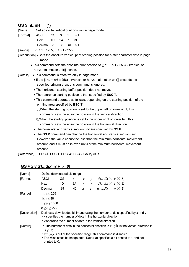# **GS \$ nL nH (\*)**

| [Name]      |                                         |                             |    |    |    | Set absolute vertical print position in page mode                                                    |
|-------------|-----------------------------------------|-----------------------------|----|----|----|------------------------------------------------------------------------------------------------------|
| [Format]    | <b>ASCII</b>                            | <b>GS</b>                   | \$ | nL | nH |                                                                                                      |
|             | Hex                                     | 1D                          | 24 | nL | nH |                                                                                                      |
|             | Decimal 29                              |                             | 36 | nL | nH |                                                                                                      |
| [Range]     | $0 \le nL \le 255$ , $0 \le nH \le 255$ |                             |    |    |    |                                                                                                      |
|             |                                         |                             |    |    |    | [Description] • Sets the absolute vertical print starting position for buffer character data in page |
|             | mode.                                   |                             |    |    |    |                                                                                                      |
|             |                                         |                             |    |    |    | • This command sets the absolute print position to [( $nL + nH \times 256$ ) $\times$ (vertical or   |
|             | horizontal motion unit)] inches.        |                             |    |    |    |                                                                                                      |
| [Details]   |                                         |                             |    |    |    | • This command is effective only in page mode.                                                       |
|             |                                         |                             |    |    |    | • If the [( $nL + nH \times 256$ ) $\times$ (vertical or horizontal motion unit)] exceeds the        |
|             |                                         |                             |    |    |    | specified printing area, this command is ignored.                                                    |
|             |                                         |                             |    |    |    | . The horizontal starting buffer position does not move.                                             |
|             |                                         |                             |    |    |    | • The reference starting position is that specified by ESC T.                                        |
|             |                                         |                             |    |    |    | • This command operates as follows, depending on the starting position of the                        |
|             | printing area specified by ESC T:       |                             |    |    |    |                                                                                                      |
|             |                                         |                             |    |    |    | If When the starting position is set to the upper left or lower right, this                          |
|             |                                         |                             |    |    |    | command sets the absolute position in the vertical direction.                                        |
|             |                                         |                             |    |    |    | 2When the starting position is set to the upper right or lower left, this                            |
|             |                                         |                             |    |    |    | command sets the absolute position in the horizontal direction.                                      |
|             |                                         |                             |    |    |    | . The horizontal and vertical motion unit are specified by GS P.                                     |
|             |                                         |                             |    |    |    | . The GS P command can change the horizontal and vertical motion unit.                               |
|             |                                         |                             |    |    |    | However, the value cannot be less than the minimum horizontal movement                               |
|             |                                         |                             |    |    |    | amount, and it must be in even units of the minimum horizontal movement                              |
|             | amount.                                 |                             |    |    |    |                                                                                                      |
| [Reference] |                                         |                             |    |    |    | ESC \$, ESC T, ESC W, ESC \, GS P, GS \                                                              |
|             |                                         |                             |    |    |    |                                                                                                      |
|             | $GS * xy d1d(x \times y \times 8)$      |                             |    |    |    |                                                                                                      |
| [Name]      |                                         | Define downloaded bit image |    |    |    |                                                                                                      |
|             | 0.0011                                  |                             |    |    |    | $\mathcal{U}$ $\mathcal{U}$ , $\mathcal{V}$ $\mathcal{V}$ $\mathcal{N}$ $\mathcal{U}$                |

| [Name]        | Define downloaded bit image                                                                                                                                                             |     |        |                  |  |                                                                                                                                               |  |  |  |
|---------------|-----------------------------------------------------------------------------------------------------------------------------------------------------------------------------------------|-----|--------|------------------|--|-----------------------------------------------------------------------------------------------------------------------------------------------|--|--|--|
| [Format]      | <b>ASCII</b>                                                                                                                                                                            | GS  | $\ast$ | $\boldsymbol{X}$ |  | y d1d(x $\times$ y $\times$ 8)                                                                                                                |  |  |  |
|               | Hex                                                                                                                                                                                     | 1D. |        |                  |  | 2A x y d1d(x $\times$ y $\times$ 8)                                                                                                           |  |  |  |
|               | Decimal                                                                                                                                                                                 | 29  | 42     | $\boldsymbol{X}$ |  | y d1 d(x $\times$ y $\times$ 8)                                                                                                               |  |  |  |
| [Range]       | $1 \le x \le 255$                                                                                                                                                                       |     |        |                  |  |                                                                                                                                               |  |  |  |
|               | $1 \le y \le 48$                                                                                                                                                                        |     |        |                  |  |                                                                                                                                               |  |  |  |
|               | $x \le y \le 1536$                                                                                                                                                                      |     |        |                  |  |                                                                                                                                               |  |  |  |
|               | 0 < d < 255                                                                                                                                                                             |     |        |                  |  |                                                                                                                                               |  |  |  |
| [Description] |                                                                                                                                                                                         |     |        |                  |  | Defines a downloaded bit image using the number of dots specified by x and y<br>• x specifies the number of dots in the horizontal direction. |  |  |  |
|               |                                                                                                                                                                                         |     |        |                  |  | • y specifies the number of dots in the vertical direction.                                                                                   |  |  |  |
| [Details]     | is $y \times 8$ .                                                                                                                                                                       |     |        |                  |  | • The number of dots in the horizontal direction is $x \times 8$ , in the vertical direction it                                               |  |  |  |
|               | • If $x \, \times \, \vee$ is out of the specified range, this command is disabled.<br>• The d indicates bit-image data. Data (d) specifies a bit printed to 1 and not<br>printed to 0. |     |        |                  |  |                                                                                                                                               |  |  |  |
|               |                                                                                                                                                                                         |     |        |                  |  |                                                                                                                                               |  |  |  |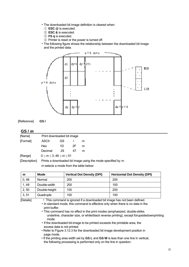- The downloaded bit image definition is cleared when:
	- ① **ESC @** is executed.
	- ② **ESC &** is executed.
- ③ **FS q** is executed.
- ④ Printer is reset or the power is turned off.
- The following figure shows the relationship between the downloaded bit image and the printed data.



[Reference] **GS /** 

#### **GS /** *m*

| [Name]   |                                  | Print downloaded bit image |    |   |  |  |  |  |
|----------|----------------------------------|----------------------------|----|---|--|--|--|--|
| [Format] | ASCII                            | GS                         |    | m |  |  |  |  |
|          | <b>Hex</b>                       | 1D                         | 2F | m |  |  |  |  |
|          | Decimal                          | 29                         | 47 | m |  |  |  |  |
| [Range]  | $0 \le m \le 3, 48 \le m \le 51$ |                            |    |   |  |  |  |  |

[Description] Prints a downloaded bit image using the mode specified by *m*.

*m* selects a mode from the table below:

| m     | Mode          | <b>Vertical Dot Density (DPI)</b> | <b>Horizontal Dot Density (DPI)</b> |
|-------|---------------|-----------------------------------|-------------------------------------|
| 0,48  | Normal        | 200                               | 200                                 |
| 1,49  | Double-width  | 200                               | 100                                 |
| 2, 50 | Double-height | 100                               | 200                                 |
| 3, 51 | Quadruple     | 100                               | 100                                 |

[Details] • This command is ignored if a downloaded bit image has not been defined.

• In standard mode, this command is effective only when there is no data in the print buffer.

• This command has no effect in the print modes (emphasized, double-strike, underline, character size, or white/black reverse printing), except forupsidedownprinting mode.

• If the downloaded bit-image to be printed exceeds the printable area, the excess data is not printed.

• Refer to Figure 3.12.3 for the downloaded bit image development position in page mode.

• If the printing area width set by **GS L** and **GS W** is less than one line in vertical, the following processing is performed only on the line in question: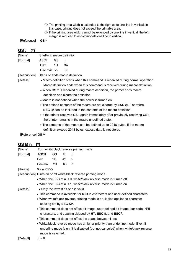- ① The printing area width is extended to the right up to one line in vertical. In this case, printing does not exceed the printable area.
- ② If the printing area width cannot be extended by one line in vertical, the left margin is reduced to accommodate one line in vertical.

[Reference] **GS \***

| <u>GS :</u>                                                                  |                                                                                  |                                       |                                                                                  |  |  |  |  |  |  |
|------------------------------------------------------------------------------|----------------------------------------------------------------------------------|---------------------------------------|----------------------------------------------------------------------------------|--|--|--|--|--|--|
| [Name]                                                                       | Start/end macro definition                                                       |                                       |                                                                                  |  |  |  |  |  |  |
| [Format]                                                                     | <b>ASCII</b>                                                                     | GS.                                   |                                                                                  |  |  |  |  |  |  |
|                                                                              | Hex<br>1D                                                                        |                                       | 3A                                                                               |  |  |  |  |  |  |
|                                                                              | Decimal 29                                                                       |                                       | 58                                                                               |  |  |  |  |  |  |
| [Description]                                                                | Starts or ends macro definition.                                                 |                                       |                                                                                  |  |  |  |  |  |  |
| [Details]                                                                    | • Macro definition starts when this command is received during normal operation. |                                       |                                                                                  |  |  |  |  |  |  |
| Macro definition ends when this command is received during macro definition. |                                                                                  |                                       |                                                                                  |  |  |  |  |  |  |
|                                                                              | • When GS $\land$ is received during macro definition, the printer ends macro    |                                       |                                                                                  |  |  |  |  |  |  |
|                                                                              |                                                                                  | definition and clears the definition. |                                                                                  |  |  |  |  |  |  |
|                                                                              | • Macro is not defined when the power is turned on.                              |                                       |                                                                                  |  |  |  |  |  |  |
|                                                                              |                                                                                  |                                       | • The defined contents of the macro are not cleared by <b>ESC</b> @. Therefore,  |  |  |  |  |  |  |
|                                                                              |                                                                                  |                                       | <b>ESC</b> @ can be included in the contents of the macro definition.            |  |  |  |  |  |  |
|                                                                              |                                                                                  |                                       | • If the printer receives GS : again immediately after previously receiving GS : |  |  |  |  |  |  |
|                                                                              |                                                                                  |                                       | the printer remains in the macro undefined state.                                |  |  |  |  |  |  |
|                                                                              |                                                                                  |                                       | • The contents of the macro can be defined up to 2048 bytes. If the macro        |  |  |  |  |  |  |
|                                                                              |                                                                                  |                                       | definition exceed 2048 bytes, excess data is not stored.                         |  |  |  |  |  |  |
| [Reference] GS ^                                                             |                                                                                  |                                       |                                                                                  |  |  |  |  |  |  |

# **GS B n (\*)**

| [Name]    |                                                                  |                                                                               |    | Turn white/black reverse printing mode                                           |  |  |  |  |  |  |
|-----------|------------------------------------------------------------------|-------------------------------------------------------------------------------|----|----------------------------------------------------------------------------------|--|--|--|--|--|--|
| [Format]  | <b>ASCII</b>                                                     | GS                                                                            | B  | n                                                                                |  |  |  |  |  |  |
|           | Hex                                                              | 1D                                                                            | 42 | n                                                                                |  |  |  |  |  |  |
|           | Decimal                                                          | 29                                                                            | 66 | n                                                                                |  |  |  |  |  |  |
| [Range]   | $0 \le n \le 255$                                                |                                                                               |    |                                                                                  |  |  |  |  |  |  |
|           |                                                                  |                                                                               |    | [Description] Turns on or off white/black reverse printing mode.                 |  |  |  |  |  |  |
|           |                                                                  |                                                                               |    | • When the LSB of n is 0, white/black reverse mode is turned off.                |  |  |  |  |  |  |
|           | • When the LSB of n is 1, white/black reverse mode is turned on. |                                                                               |    |                                                                                  |  |  |  |  |  |  |
| [Details] |                                                                  |                                                                               |    | • Only the lowest bit of n is valid.                                             |  |  |  |  |  |  |
|           |                                                                  |                                                                               |    | • This command is available for built-in characters and user-defined characters. |  |  |  |  |  |  |
|           |                                                                  |                                                                               |    | • When white/black reverse printing mode is on, it also applied to character     |  |  |  |  |  |  |
|           | spacing set by <b>ESC SP</b> .                                   |                                                                               |    |                                                                                  |  |  |  |  |  |  |
|           |                                                                  |                                                                               |    | • This command does not affect bit image, user-defined bit image, bar code, HRI  |  |  |  |  |  |  |
|           |                                                                  |                                                                               |    | characters, and spacing skipped by HT, ESC \$, and ESC \.                        |  |  |  |  |  |  |
|           |                                                                  |                                                                               |    | • This command does not affect the space between lines.                          |  |  |  |  |  |  |
|           |                                                                  | • White/black reverse mode has a higher priority than underline mode. Even if |    |                                                                                  |  |  |  |  |  |  |
|           |                                                                  |                                                                               |    | underline mode is on, it is disabled (but not canceled) when white/black reverse |  |  |  |  |  |  |
|           | mode is selected.                                                |                                                                               |    |                                                                                  |  |  |  |  |  |  |
| [Default] | $n = 0$                                                          |                                                                               |    |                                                                                  |  |  |  |  |  |  |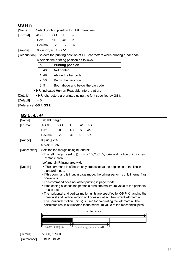#### **GS H n**

|                     |  |     | [Name] Select printing position for HRI characters |
|---------------------|--|-----|----------------------------------------------------|
| [Format] ASCII GS H |  |     |                                                    |
| Hex $1D$ 48         |  | n n |                                                    |
| Decimal 29 72 n     |  |     |                                                    |
|                     |  |     |                                                    |

[Range]  $0 \le n \le 3$ ,  $48 \le n \le 51$ 

[Description] Selects the printing position of HRI characters when printing a bar code.

| in selects the printing position as follows: |  |  |  |  |
|----------------------------------------------|--|--|--|--|
|----------------------------------------------|--|--|--|--|

| n     | <b>Printing position</b>                            |
|-------|-----------------------------------------------------|
| 0,48  | Not printed                                         |
| 1, 49 | Above the bar code                                  |
| 2, 50 | Below the bar code                                  |
| 3, 51 | Both above and below the bar code                   |
|       | <u> IDI indicatos Luman Doodoblo Interpretation</u> |

• HRI indicates Human Readable Interpretation.

| [Details] | • HRI characters are printed using the font specified by GS f. |
|-----------|----------------------------------------------------------------|
|-----------|----------------------------------------------------------------|

[Default]  $n = 0$ 

[Reference] **GS f**, **GS k** 

# **GS L** *nL nH*

| [Name]        | Set left margin                                                                                                                                               |    |    |    |                                                       |  |  |  |  |
|---------------|---------------------------------------------------------------------------------------------------------------------------------------------------------------|----|----|----|-------------------------------------------------------|--|--|--|--|
| [Format]      | <b>ASCII</b>                                                                                                                                                  | GS | L  | nL | nН                                                    |  |  |  |  |
|               | Hex                                                                                                                                                           | 1D | 4C | nL | пH                                                    |  |  |  |  |
|               | Decimal                                                                                                                                                       | 29 | 76 | nL | nН                                                    |  |  |  |  |
| [Range]       | $0 \leq nL \leq 255$                                                                                                                                          |    |    |    |                                                       |  |  |  |  |
|               | $0 \leq nH \leq 255$                                                                                                                                          |    |    |    |                                                       |  |  |  |  |
| [Description] | Sets the left margin using nL and nH.                                                                                                                         |    |    |    |                                                       |  |  |  |  |
|               | • The left margin is set to [( $nL + nH \times 256$ ) $\times$ horizontal motion unit]] inches.<br>Printable area                                             |    |    |    |                                                       |  |  |  |  |
|               | Left margin Printing area width                                                                                                                               |    |    |    |                                                       |  |  |  |  |
| [Details]     | • This command is effective only processed at the beginning of the line in<br>standard mode.                                                                  |    |    |    |                                                       |  |  |  |  |
|               | • If this command is input in page mode, the printer performs only internal flag<br>operations.                                                               |    |    |    |                                                       |  |  |  |  |
|               |                                                                                                                                                               |    |    |    | • This command does not affect printing in page mode. |  |  |  |  |
|               | • If the setting exceeds the printable area, the maximum value of the printable<br>area is used.                                                              |    |    |    |                                                       |  |  |  |  |
|               | • The horizontal and vertical motion units are specified by GS P. Changing the                                                                                |    |    |    |                                                       |  |  |  |  |
|               | horizontal and vertical motion unit does not affect the current left margin.                                                                                  |    |    |    |                                                       |  |  |  |  |
|               | • The horizontal motion unit (x) is used for calculating the left margin. The<br>calculated result is truncated to the minimum value of the mechanical pitch. |    |    |    |                                                       |  |  |  |  |
|               | Printable area                                                                                                                                                |    |    |    |                                                       |  |  |  |  |
|               |                                                                                                                                                               |    |    |    |                                                       |  |  |  |  |
|               |                                                                                                                                                               |    |    |    |                                                       |  |  |  |  |
|               | .eft margin                                                                                                                                                   |    |    |    | Printing area width                                   |  |  |  |  |
| [Default]     | $nL = 0, nH = 0$                                                                                                                                              |    |    |    |                                                       |  |  |  |  |
| [Reference]   | GS P, GS W                                                                                                                                                    |    |    |    |                                                       |  |  |  |  |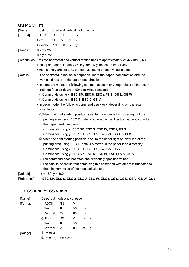| —<br>. . | - 4 | u |  |
|----------|-----|---|--|
|          |     |   |  |

| [Name]      | Set horizontal and vertical motion units |                            |     |   |   |                                                                                                                                    |  |  |
|-------------|------------------------------------------|----------------------------|-----|---|---|------------------------------------------------------------------------------------------------------------------------------------|--|--|
| [Format]    | <b>ASCII</b>                             | <b>GS</b>                  | - P | X | v |                                                                                                                                    |  |  |
|             | Hex                                      | 1D                         | 50  | X | y |                                                                                                                                    |  |  |
|             | Decimal                                  | 29                         | 80  | x | y |                                                                                                                                    |  |  |
| [Range]     | $0 \leq x \leq 255$                      |                            |     |   |   |                                                                                                                                    |  |  |
|             | $0 \le y \le 255$                        |                            |     |   |   |                                                                                                                                    |  |  |
|             |                                          |                            |     |   |   | [Description] Sets the horizontal and vertical motion units to approximately 25.4/ x mm $\{1/x\}$                                  |  |  |
|             |                                          |                            |     |   |   | inches} and approximately 25.4/ y mm {1/ y inches}, respectively.                                                                  |  |  |
|             |                                          |                            |     |   |   | When x and y are set to 0, the default setting of each value is used.                                                              |  |  |
| [Details]   |                                          |                            |     |   |   | • The horizontal direction is perpendicular to the paper feed direction and the<br>vertical direction is the paper feed direction. |  |  |
|             |                                          |                            |     |   |   | • In standard mode, the following commands use x or y, regardless of character                                                     |  |  |
|             |                                          |                            |     |   |   | rotation (upside-down or 90° clockwise rotation):                                                                                  |  |  |
|             |                                          |                            |     |   |   | 1) Commands using x: ESC SP, ESC \$, ESC \, FS S, GS L, GS W                                                                       |  |  |
|             |                                          |                            |     |   |   | 2 Commands using y: ESC 3, ESC J, GS V                                                                                             |  |  |
|             |                                          |                            |     |   |   | • In page mode, the following command use x or y, depending on character                                                           |  |  |
|             | orientation:                             |                            |     |   |   |                                                                                                                                    |  |  |
|             |                                          |                            |     |   |   | 10When the print starting position is set to the upper left or lower right of the                                                  |  |  |
|             |                                          |                            |     |   |   | printing area using ESC T (data is buffered in the direction perpendicular to                                                      |  |  |
|             |                                          | the paper feed direction): |     |   |   |                                                                                                                                    |  |  |
|             |                                          |                            |     |   |   | Commands using x: ESC SP, ESC \$, ESC W, ESC \, FS S                                                                               |  |  |
|             |                                          |                            |     |   |   | Commands using y: ESC 3, ESC J, ESC W, GS \$, GS \, GS V                                                                           |  |  |
|             |                                          |                            |     |   |   | 2When the print starting position is set to the upper right or lower left of the                                                   |  |  |
|             |                                          |                            |     |   |   | printing area using ESC T (data is buffered in the paper feed direction):                                                          |  |  |
|             |                                          |                            |     |   |   | Commands using x: ESC 3, ESC J, ESC W, GS \$, GS \                                                                                 |  |  |
|             |                                          |                            |     |   |   | Commands using y: ESC SP, ESC \$, ESC W, ESC \, FS S, GS V                                                                         |  |  |
|             |                                          |                            |     |   |   | • The command does not affect the previously specified values.                                                                     |  |  |
|             |                                          |                            |     |   |   | • The calculated result from combining this command with others is truncated to                                                    |  |  |
|             |                                          |                            |     |   |   | the minimum value of the mechanical pitch.                                                                                         |  |  |
| [Default]   | $x = 180, y = 360$                       |                            |     |   |   |                                                                                                                                    |  |  |
| [Reference] |                                          |                            |     |   |   | ESC SP, ESC \$, ESC 3, ESC J, ESC W, ESC \, GS \$, GS L, GS V, GS W, GS \                                                          |  |  |

# ① **GS V** *m* ② **GS V** *m n*

| [Name]   | Select cut mode and cut paper |    |    |   |   |  |  |  |
|----------|-------------------------------|----|----|---|---|--|--|--|
| [Format] | ①ASCII                        | GS | V  | m |   |  |  |  |
|          | Hex                           | 1D | 56 | m |   |  |  |  |
|          | Decimal                       | 29 | 86 | m |   |  |  |  |
|          | 2)ASCII                       | GS | v  | m | n |  |  |  |
|          | Hex                           | 1D | 56 | m | n |  |  |  |
|          | Decimal                       | 29 | 86 | m | n |  |  |  |
| [Range]  | (1) $m = 1,49$                |    |    |   |   |  |  |  |
|          | $m = 66, 0 \le n \le 255$     |    |    |   |   |  |  |  |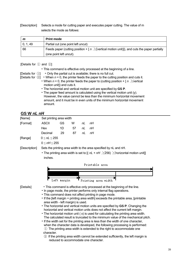[Description] Selects a mode for cutting paper and executes paper cutting. The value of m selects the mode as follows:

| m        | <b>Print mode</b>                                                                                            |
|----------|--------------------------------------------------------------------------------------------------------------|
| 0, 1, 49 | Partial cut (one point left uncut)                                                                           |
| 66       | Feeds paper (cutting position + $\lfloor n \rfloor$ / (vertical motion unit)]), and cuts the paper partially |
|          | (one point left uncut).                                                                                      |

[Details for ① and ②]

[Details for ①] • Only the partial cut is available; there is no full cut.

[Details for  $\circled{2}$ ] • When  $n = 0$ , the printer feeds the paper to the cutting position and cuts it.

- When  $n = 0$ , the printer feeds the paper to (cutting position +  $\lfloor n \rfloor$  X vertical motion unit]) and cuts it.
	- The horizontal and vertical motion unit are specified by **GS P**.
	- The paper feed amount is calculated using the vertical motion unit (y). However, the value cannot be less than the minimum horizontal movement amount, and it must be in even units of the minimum horizontal movement amount.

#### **GS W** *nL nH*

| [Name]        | Set printing area width                                                                                                                                         |                |    |    |                                                                                                 |  |  |  |  |  |  |  |
|---------------|-----------------------------------------------------------------------------------------------------------------------------------------------------------------|----------------|----|----|-------------------------------------------------------------------------------------------------|--|--|--|--|--|--|--|
| [Format]      | <b>ASCII</b>                                                                                                                                                    | GS             | W  | nL | nН                                                                                              |  |  |  |  |  |  |  |
|               | Hex                                                                                                                                                             | 1D             | 57 | nL | пH                                                                                              |  |  |  |  |  |  |  |
|               | Decimal                                                                                                                                                         | 29             | 87 | nL | nН                                                                                              |  |  |  |  |  |  |  |
| [Range]       | $0 \leq nL \leq 255$                                                                                                                                            |                |    |    |                                                                                                 |  |  |  |  |  |  |  |
|               | $0 \leq nH \leq 255$                                                                                                                                            |                |    |    |                                                                                                 |  |  |  |  |  |  |  |
| [Description] |                                                                                                                                                                 |                |    |    | Sets the printing area width to the area specified by nL and nH.                                |  |  |  |  |  |  |  |
|               |                                                                                                                                                                 |                |    |    | • The printing area width is set to [( $nL + nH \times 256$ ) $\times$ horizontal motion unit]] |  |  |  |  |  |  |  |
|               | inches.                                                                                                                                                         |                |    |    |                                                                                                 |  |  |  |  |  |  |  |
|               |                                                                                                                                                                 | Printable area |    |    |                                                                                                 |  |  |  |  |  |  |  |
|               |                                                                                                                                                                 |                |    |    |                                                                                                 |  |  |  |  |  |  |  |
|               |                                                                                                                                                                 |                |    |    |                                                                                                 |  |  |  |  |  |  |  |
|               |                                                                                                                                                                 | Left margin    |    |    |                                                                                                 |  |  |  |  |  |  |  |
|               |                                                                                                                                                                 |                |    |    | Printing area width                                                                             |  |  |  |  |  |  |  |
| [Details]     | . This command is effective only processed at the beginning of the line.                                                                                        |                |    |    |                                                                                                 |  |  |  |  |  |  |  |
|               | • In page mode, the printer performs only internal flag operations.                                                                                             |                |    |    |                                                                                                 |  |  |  |  |  |  |  |
|               | • This command does not affect printing in page mode.                                                                                                           |                |    |    |                                                                                                 |  |  |  |  |  |  |  |
|               | • If the [left margin + printing area width] exceeds the printable area, [printable                                                                             |                |    |    |                                                                                                 |  |  |  |  |  |  |  |
|               | area width - left margin) is used.                                                                                                                              |                |    |    |                                                                                                 |  |  |  |  |  |  |  |
|               | • The horizontal and vertical motion units are specified by GS P. Changing the<br>horizontal and vertical motion units does not affect the current left margin. |                |    |    |                                                                                                 |  |  |  |  |  |  |  |
|               |                                                                                                                                                                 |                |    |    | • The horizontal motion unit (x) is used for calculating the printing area width.               |  |  |  |  |  |  |  |
|               |                                                                                                                                                                 |                |    |    | The calculated result is truncated to the minimum value of the mechanical pitch.                |  |  |  |  |  |  |  |
|               |                                                                                                                                                                 |                |    |    | . If the width set for the printing area is less than the width of one character,               |  |  |  |  |  |  |  |
|               |                                                                                                                                                                 |                |    |    | when the character data is developed, the following processing is performed:                    |  |  |  |  |  |  |  |
|               | 1) The printing area width is extended to the right to accommodate one                                                                                          |                |    |    |                                                                                                 |  |  |  |  |  |  |  |

- character.
- ② If the printing area width cannot be extended sufficiently, the left margin is reduced to accommodate one character.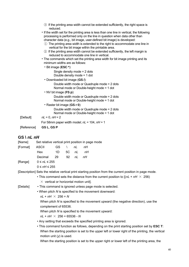|             | <b>3</b> If the printing area width cannot be extended sufficiently, the right space is<br>reduced.                                                                                                                                                                                                                                                                                                                                                                                                                                                                                                                                                              |
|-------------|------------------------------------------------------------------------------------------------------------------------------------------------------------------------------------------------------------------------------------------------------------------------------------------------------------------------------------------------------------------------------------------------------------------------------------------------------------------------------------------------------------------------------------------------------------------------------------------------------------------------------------------------------------------|
|             | • If the width set for the printing area is less than one line in vertical, the following<br>processing is performed only on the line in question when data other than<br>character data (e.g., bit image, user-defined bit image) is developed:<br>1) The printing area width is extended to the right to accommodate one line in<br>vertical for the bit image within the printable area.<br>$\circled{2}$ If the printing area width cannot be extended sufficiently, the left margin is<br>reduced to accommodate one line in vertical.<br>• The commands which set the printing area width for bit image printing and its<br>minimum widths are as follows: |
|             | $\cdot$ Bit image (ESC $\ast$ ):                                                                                                                                                                                                                                                                                                                                                                                                                                                                                                                                                                                                                                 |
|             | Single density mode $= 2$ dots<br>Double density mode $=$ 1 dot                                                                                                                                                                                                                                                                                                                                                                                                                                                                                                                                                                                                  |
|             | • Downloaded bit image (GS /):                                                                                                                                                                                                                                                                                                                                                                                                                                                                                                                                                                                                                                   |
|             | Double width mode or Quadruple mode = 2 dots<br>Normal mode or Double-height mode = 1 dot                                                                                                                                                                                                                                                                                                                                                                                                                                                                                                                                                                        |
|             | $\cdot$ NV bit image (FS p):                                                                                                                                                                                                                                                                                                                                                                                                                                                                                                                                                                                                                                     |
|             | Double width mode or Quadruple mode = 2 dots<br>Normal mode or Double-height mode = 1 dot                                                                                                                                                                                                                                                                                                                                                                                                                                                                                                                                                                        |
|             | • Raster bit image $(GS r 0)$ :                                                                                                                                                                                                                                                                                                                                                                                                                                                                                                                                                                                                                                  |
|             | Double width mode or Quadruple mode = 2 dots<br>Normal mode or Double-height mode = 1 dot                                                                                                                                                                                                                                                                                                                                                                                                                                                                                                                                                                        |
| [Default]   | $nL = 0, nH = 2$                                                                                                                                                                                                                                                                                                                                                                                                                                                                                                                                                                                                                                                 |
|             | For 58mm paper width model; $nL = 104$ , $nH = 1$                                                                                                                                                                                                                                                                                                                                                                                                                                                                                                                                                                                                                |
| [Reference] | GS L, GS P                                                                                                                                                                                                                                                                                                                                                                                                                                                                                                                                                                                                                                                       |
| GS \ nL nH  |                                                                                                                                                                                                                                                                                                                                                                                                                                                                                                                                                                                                                                                                  |

# [Name] Set relative vertical print position in page mode [Format] ASCII GS \ *nL nH*  Hex 1D 5C *nL nH*  Decimal 29 92 *nL nH*  [Range] 0 ≤ *nL* ≤ 255 0 ≤ *nH* ≤ 255

[Description] Sets the relative vertical print starting position from the current position in page mode.

- This command sets the distance from the current position to  $[(nL + nH \times 256)]$  $\times$  vertical or horizontal motion unit].
- [Details] This command is ignored unless page mode is selected.
	- When pitch *N* is specified to the movement downward:

 $nL + nH \times 256 = N$ 

When pitch *N* is specified to the movement upward (the negative direction), use the complement of 65536.

When pitch *N* is specified to the movement upward:

 $nL + nH \times 256 = 65536 - N$ 

• Any setting that exceeds the specified printing area is ignored.

• This command function as follows, depending on the print starting position set by **ESC T**: When the starting position is set to the upper left or lower right of the printing, the vertical motion unit (*y*) is used.

When the starting position is set to the upper right or lower left of the printing area, the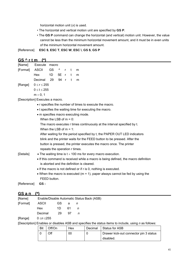horizontal motion unit (*x*) is used.

- The horizontal and vertical motion unit are specified by **GS P**.
- The **GS P** command can change the horizontal (and vertical) motion unit. However, the value cannot be less than the minimum horizontal movement amount, and it must be in even units of the minimum horizontal movement amount.

[Reference] **ESC \$**, **ESC T**, **ESC W**, **ESC \**, **GS \$**, **GS P**

#### **GS ^ r t m (\*)**

| [Name] Execute macro      |  |  |   |
|---------------------------|--|--|---|
| [Format] ASCII GS ^ r t m |  |  |   |
| Hex 1D 5E r t             |  |  | m |
| Decimal 29 94 r t m       |  |  |   |
| [Range] $0 \le r \le 255$ |  |  |   |
| $0 \le t \le 255$         |  |  |   |
| $m = 0, 1$                |  |  |   |

[Description] Executes a macro.

- r specifies the number of times to execute the macro.
- t specifies the waiting time for executing the macro.
- m specifies macro executing mode.

When the LSB of  $m = 0$ :

The macro executes r times continuously at the interval specified by t.

When the LSB of  $m = 1$ :

After waiting for the period specified by t, the PAPER OUT LED indicators blink and the printer waits for the FEED button to be pressed. After the button is pressed, the printer executes the macro once. The printer repeats the operation r times.

#### [Details] • The waiting time is  $t \times 100$  ms for every macro execution.

- If this command is received while a macro is being defined, the macro definition is aborted and the definition is cleared.
- If the macro is not defined or if r is 0, nothing is executed.
- When the macro is executed ( $m = 1$ ), paper always cannot be fed by using the FEED button.

[Reference] **GS :** 

#### **GS a n (\*)**

| [Name]   | Enable/Disable Automatic Status Back (ASB) |        |    |                |  |  |  |
|----------|--------------------------------------------|--------|----|----------------|--|--|--|
| [Format] | ASCII                                      | GS a n |    |                |  |  |  |
|          | Hex                                        | 1D 61  |    | $\overline{a}$ |  |  |  |
|          | Decimal                                    | -29    | 97 | $\overline{p}$ |  |  |  |
| [Range]  | 0 ≤ <i>n</i> ≤255                          |        |    |                |  |  |  |

[Description] Enables or disables ASB and specifies the status items to include, using *n* as follows:

| Bit | วff/On | Hex | Decimal | Status for ASB                         |
|-----|--------|-----|---------|----------------------------------------|
|     | Эff    | 00  |         | Drawer kick-out connector pin 3 status |
|     |        |     |         | disabled.                              |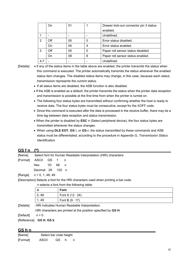|       | On  | 01 |   | Drawer kick-out connector pin 3 status |
|-------|-----|----|---|----------------------------------------|
|       |     |    |   | enabled.                               |
|       |     |    |   | Undefined.                             |
| 2     | Off | 00 | 0 | Error status disabled.                 |
|       | On  | 04 | 4 | Error status enabled.                  |
| 3     | Off | 00 | 0 | Paper roll sensor status disabled.     |
|       | On  | 08 | 8 | Paper roll sensor status enabled.      |
| $4 -$ |     |    |   | Undefined.                             |

[Details] • If any of the status items in the table above are enabled, the printer transmits the status when this command is executed. The printer automatically transmits the status whenever the enabled status item changes. The disabled status items may change, in this case, because each status transmission represents the current status.

- If all status items are disabled, the ASB function is also disabled.
- If the ASB is enabled as a default, the printer transmits the status when the printer data reception and transmission is possible at the first time from when the printer is turned on.
- The following four status bytes are transmitted without confirming whether the host is ready to receive data. The four status bytes must be consecutive, except for the XOFF code.
- Since this command is executed after the data is processed in the receive buffer, there may be a time lag between data reception and status transmission.
- When the printer is disabled by **ESC =** (Select peripheral device), the four status bytes are transmitted whenever the status changes.
- When using **DLE EOT**, **GS** I, or **GS r**, the status transmitted by these commands and ASB status must be differentiated, according to the procedure in Appendix G, *Transmission Status Identification*.

#### **GS f n (\*)**

[Name] Select font for Human Readable Interpretation (HRI) characters

[Format] ASCII GS f *n*  Hex 1D 66 *n*  Decimal 29 102 *n* 

[Range] *n* = 0, 1, 48, 49

[Description] Selects a font for the HRI characters used when printing a bar code.

*n* selects a font from the following table:

| n     | Font                   |
|-------|------------------------|
| 0, 48 | Font A $(12 \cdot 24)$ |
| 1, 49 | Font B $(9 \cdot 17)$  |

[Details] . HRI indicates Human Readable Interpretation.

. HRI characters are printed at the position specified by **GS H**.

```
[Default] n = 0
```
[Reference] **GS H**, **GS k** 

#### **GS h n**

| [Name]   | Select bar code height |     |     |   |
|----------|------------------------|-----|-----|---|
| [Format] | ASCII                  | GS. | - h | n |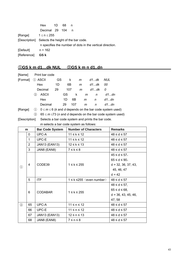|                                                   | Hex 1D 68             |  | n n |                                                           |
|---------------------------------------------------|-----------------------|--|-----|-----------------------------------------------------------|
|                                                   | Decimal 29 104        |  | n n |                                                           |
| [Range]                                           | 1 $\leq$ n $\leq$ 255 |  |     |                                                           |
| [Description] Selects the height of the bar code. |                       |  |     |                                                           |
|                                                   |                       |  |     | n specifies the number of dots in the vertical direction. |
| [Default] $n = 162$                               |                       |  |     |                                                           |
| [Reference]                                       | GS k                  |  |     |                                                           |

# ①**GS k m d1…dk NUL** ②**GS k m n d1..dn**

| [Name]   |     | Print bar code |    |     |     |   |   |      |                                                               |
|----------|-----|----------------|----|-----|-----|---|---|------|---------------------------------------------------------------|
| [Format] |     | ① ASCII        | GS |     | k   | m |   | d1dk | NUL                                                           |
|          |     | Hex            | 1D | 6B  |     | m |   | d1dk | 00                                                            |
|          |     | Decimal        | 29 | 107 |     | m |   | d1dk | 0                                                             |
|          | (2) | <b>ASCII</b>   |    | GS. | k   |   | m | n    | d1dn                                                          |
|          |     | Hex            |    | 1D  | 6Β  |   | m | n    | d1dn                                                          |
|          |     | Decimal        |    | 29  | 107 |   | m | n    | d1dn                                                          |
| [Range]  |     |                |    |     |     |   |   |      | $0 \le m \le 6$ (k and d depends on the bar code system used) |

② 65 ≤ *m* ≤73 (*n* and *d* depends on the bar code system used)

[Description] Selects a bar code system and prints the bar code.

*m* selects a bar code system as follows:

|                                   | m              | <b>Bar Code System</b> | <b>Number of Characters</b>       | <b>Remarks</b>        |  |
|-----------------------------------|----------------|------------------------|-----------------------------------|-----------------------|--|
|                                   | $\Omega$       | UPC-A                  | $11 \leq k \leq 12$               | $48 \le d \le 57$     |  |
|                                   | $\mathbf{1}$   | UPC-E                  | $11 \leq k \leq 12$               | $48 \le d \le 57$     |  |
|                                   | $\overline{2}$ | JAN13 (EAN13)          | $12 \le k \le 13$                 | $48 \le d \le 57$     |  |
|                                   | 3              | JAN8 (EAN8)            | $7 \leq k \leq 8$                 | $48 \le d \le 57$     |  |
|                                   |                |                        |                                   | $45 \le d \le 57$ ,   |  |
|                                   |                |                        |                                   | $65 \le d \le 90$ ,   |  |
| $^{\textcircled{\scriptsize{1}}}$ | 4              | CODE39                 | $1 \leq k \leq 255$               | $d = 32, 36, 37, 43,$ |  |
|                                   |                |                        |                                   | 45, 46, 47            |  |
|                                   |                |                        |                                   | $d = 42$              |  |
|                                   | 5              | <b>ITF</b>             | $1 \leq k \leq 255$ (even number) | $48 \le d \le 57$     |  |
|                                   |                |                        |                                   | $48 \leq d \leq 57$ , |  |
|                                   | 6              | <b>CODABAR</b>         | $1 \leq k \leq 255$               | $65 \le d \le 68$ ,   |  |
|                                   |                |                        |                                   | $d = 36, 43, 45, 46,$ |  |
|                                   |                |                        |                                   | 47, 58                |  |
| $^{\circledR}$                    | 65             | UPC-A                  | $11 \le n \le 12$                 | $48 \le d \le 57$     |  |
|                                   | 66             | UPC-E                  | $11 \le n \le 12$                 | $48 \le d \le 57$     |  |
|                                   | 67             | JAN13 (EAN13)          | $12 \le n \le 13$                 | $48 \le d \le 57$     |  |
|                                   | 68             | JAN8 (EAN8)            | $7 \le n \le 8$                   | $48 \le d \le 57$     |  |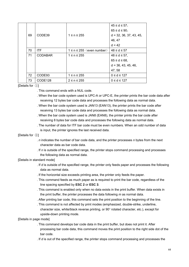|    |                |                                 | $45 \le d \le 57$ ,       |
|----|----------------|---------------------------------|---------------------------|
|    |                |                                 | $65 \le d \le 90$         |
| 69 | CODE39         | $1 \le n \le 255$               | $d = 32, 36, 37, 43, 45,$ |
|    |                |                                 | 46, 47                    |
|    |                |                                 | $d = 42$                  |
| 70 | <b>ITF</b>     | $1 \le n \le 255$ (even number) | $48 \le d \le 57$         |
| 71 | <b>CODABAR</b> | $1 \le n \le 255$               | $48 \le d \le 57$ ,       |
|    |                |                                 | $65 \le d \le 68$ ,       |
|    |                |                                 | $d = 36, 43, 45, 46,$     |
|    |                |                                 | 47, 58                    |
| 72 | CODE93         | $1 \le n \le 255$               | $0 \le d \le 127$         |
| 73 | CODE128        | $2 \leq n \leq 255$             | $0 \le d \le 127$         |

#### [Details for ①]

- . This command ends with a NUL code.
- . When the bar code system used is UPC-A or UPC-E, the printer prints the bar code data after receiving 12 bytes bar code data and processes the following data as normal data.
- . When the bar code system used is JAN13 (EAN13), the printer prints the bar code after receiving 13 bytes bar code data and processes the following data as normal data.
- . When the bar code system used is JAN8 (EAN8), the printer prints the bar code after receiving 8 bytes bar code data and processes the following data as normal data.
- . The number of data for ITF bar code must be even numbers. When an odd number of data is input, the printer ignores the last received data.

[Details for ②]

- . *n* indicates the number of bar code data, and the printer processes *n* bytes from the next character data as bar code data.
- . If *n* is outside of the specified range, the printer stops command processing and processes the following data as normal data.

#### [Details in standard mode]

- . If *d* is outside of the specified range, the printer only feeds paper and processes the following data as normal data.
- . If the horizontal size exceeds printing area, the printer only feeds the paper.
- . This command feeds as much paper as is required to print the bar code, regardless of the line spacing specified by **ESC 2** or **ESC 3**.
- . This command is enabled only when no data exists in the print buffer. When data exists in the print buffer, the printer processes the data following *m* as normal data.
- . After printing bar code, this command sets the print position to the beginning of the line.
- . This command is not affected by print modes (emphasized, double-strike, underline, character size, white/black reverse printing, or 90° rotated character, etc.), except for upside-down printing mode.

[Details in page mode]

- . This command develops bar code data in the print buffer, but does not print it. After processing bar code data, this command moves the print position to the right side dot of the bar code.
- . If *d* is out of the specified range, the printer stops command processing and processes the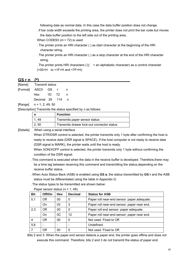following data as normal data. In this case the data buffer position does not change.

. If bar code width exceeds the printing area, the printer does not print the bar code but moves the data buffer position to the left side out of the printing area.

When CODE93 (*m* = 72) is used:

- . The printer prints an HRI character ( ) as start character at the beginning of the HRI character string.
- . The printer prints an HRI character ( ) as a stop character at the end of the HRI character string.
- . The printer prints HRI characters ( $\overline{K}$  + an alphabetic character) as a control character (<00>H to <1F>H and <7F>H):

#### **GS r n (\*)**

| [Format] ASCII GS r |                    |  | n |
|---------------------|--------------------|--|---|
|                     | Hex $1D$ 72 n      |  |   |
|                     | Decimal 29 $114$ n |  |   |

[Range] *n* = 1, 2, 49, 50

[Description] Transmits the status specified by *n* as follows:

|       | <b>Function</b>                            |
|-------|--------------------------------------------|
| . 49  | Transmits paper sensor status              |
| 2, 50 | Transmits drawer kick-out connector status |

[Details] . When using a serial interface

When DTR/DSR control is selected, the printer transmits only 1 byte after confirming the host is ready to receive data (DSR signal is SPACE). If the host computer is not ready to receive data (DSR signal is MARK), the printer waits until the host is ready.

When XON/XOFF control is selected, the printer transmits only 1 byte without confirming the condition of the DSR signal.

- . This command is executed when the data in the receive buffer is developed. Therefore,there may be a time lag between receiving this command and transmitting the status,depending on the receive buffer status.
- . When Auto Status Back (ASB) is enabled using **GS a**, the status transmitted by **GS r** and the ASB status must be differentiated using the table in Appendix G.
- . The status types to be transmitted are shown below:

| <b>Bit</b> | Off/On | <b>Hex</b> | <b>Decimal</b> | <b>Status for ASB</b>                       |
|------------|--------|------------|----------------|---------------------------------------------|
| 0,1        | Off    | 00         |                | Paper roll near-end sensor: paper adequate. |
|            | On     | 03         | 3              | Paper roll near-end sensor: paper near end. |
| 2,3        | Off    | 00         | 0              | Paper roll end sensor: paper adequate.      |
|            | On     | OC         | 12             | Paper roll near-end sensor: paper near end. |
|            | Off    | 00         | 0              | Not used. Fixed to Off.                     |
| 5,6        |        |            |                | Undefined.                                  |
|            | Off    | 00         | 0              | Not used. Fixed to Off.                     |

Paper sensor status (*n* = 1, 49):

Bits 2 and 3: When the paper end sensor detects a paper end, the printer goes offline and does not execute this command. Therefore, bits 2 and 3 do not transmit the status of paper end.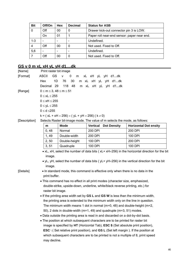| <b>Bit</b> | Off/On | <b>Hex</b> | <b>Decimal</b> | <b>Status for ASB</b>                       |  |
|------------|--------|------------|----------------|---------------------------------------------|--|
| 0          | Off    | 00         | 0              | Drawer kick-out connector pin 3 is LOW.     |  |
|            | On     | 01         |                | Paper roll near-end sensor: paper near end. |  |
| $1 - 3$    |        |            |                | Undefined.                                  |  |
| 4          | Off    | 00         | 0              | Not used. Fixed to Off.                     |  |
| 5,6        |        |            |                | Undefined.                                  |  |
|            | Off    | 00         | 0              | Not used. Fixed to Off.                     |  |

# **GS v 0 m xL xH yL yH d1....dk**

| [Name]        | Print raster bit image                                                                                    |                                                                      |                                                                                                   |                                                                                                      |  |  |  |
|---------------|-----------------------------------------------------------------------------------------------------------|----------------------------------------------------------------------|---------------------------------------------------------------------------------------------------|------------------------------------------------------------------------------------------------------|--|--|--|
| [Format]      | <b>ASCII</b><br><b>GS</b>                                                                                 | 0<br>m<br>v                                                          | xL xH yL yH d1dk                                                                                  |                                                                                                      |  |  |  |
|               | 1D<br>Hex                                                                                                 | 30<br>76                                                             | m xL xH yL yH d1dk                                                                                |                                                                                                      |  |  |  |
|               | Decimal 29                                                                                                | 118 48                                                               | m xL xH yL yH d1dk                                                                                |                                                                                                      |  |  |  |
| [Range]       | $0 \le m \le 3$ , $48 \le m \le 51$                                                                       |                                                                      |                                                                                                   |                                                                                                      |  |  |  |
|               | $0 \le xL \le 255$                                                                                        |                                                                      |                                                                                                   |                                                                                                      |  |  |  |
|               | $0 \leq xH \leq 255$                                                                                      |                                                                      |                                                                                                   |                                                                                                      |  |  |  |
|               | $0 \le yL \le 255$                                                                                        |                                                                      |                                                                                                   |                                                                                                      |  |  |  |
|               | $0 \leq d \leq 255$                                                                                       |                                                                      |                                                                                                   |                                                                                                      |  |  |  |
|               |                                                                                                           | $k = (xL + xH \times 256) \times (yL + yH \times 256)$ ( $k \ne 0$ ) |                                                                                                   |                                                                                                      |  |  |  |
| [Description] |                                                                                                           |                                                                      | Selects Raster bit-image mode. The value of m selects the mode, as follows:                       |                                                                                                      |  |  |  |
|               | m                                                                                                         | <b>Mode</b>                                                          | <b>Vertical</b><br><b>Dot Density</b>                                                             | <b>Horizontal Dot ensity</b>                                                                         |  |  |  |
|               | 0, 48                                                                                                     | Normal                                                               | 200 DPI                                                                                           | 200 DPI                                                                                              |  |  |  |
|               | 1,49                                                                                                      | Double-width                                                         | 200 DPI                                                                                           | 100 DPI                                                                                              |  |  |  |
|               | 2, 50                                                                                                     | Double-height                                                        | 100 DPI                                                                                           | 200 DPI                                                                                              |  |  |  |
|               | 3, 51                                                                                                     | 100 DPI<br>100 DPI<br>Quadruple                                      |                                                                                                   |                                                                                                      |  |  |  |
|               | • xL, xH, select the number of data bits ( $xL + xH \times 256$ ) in the horizontal direction for the bit |                                                                      |                                                                                                   |                                                                                                      |  |  |  |
|               | image.                                                                                                    |                                                                      |                                                                                                   |                                                                                                      |  |  |  |
|               |                                                                                                           |                                                                      |                                                                                                   | • yL, yH, select the number of data bits (yL+ yH $\times$ 256) in the vertical direction for the bit |  |  |  |
|               | image.                                                                                                    |                                                                      |                                                                                                   |                                                                                                      |  |  |  |
| [Details]     | . In standard mode, this command is effective only when there is no data in the<br>print buffer.          |                                                                      |                                                                                                   |                                                                                                      |  |  |  |
|               | • This command has no effect in all print modes (character size, emphasized,                              |                                                                      |                                                                                                   |                                                                                                      |  |  |  |
|               | double-strike, upside-down, underline, white/black reverse printing, etc.) for<br>raster bit image.       |                                                                      |                                                                                                   |                                                                                                      |  |  |  |
|               | • If the printing area width set by GS L and GS W is less than the minimum width,                         |                                                                      |                                                                                                   |                                                                                                      |  |  |  |
|               | the printing area is extended to the minimum width only on the line in question.                          |                                                                      |                                                                                                   |                                                                                                      |  |  |  |
|               | The minimum width means 1 dot in normal ( $m=0$ , 48) and double-height ( $m=2$ ,                         |                                                                      |                                                                                                   |                                                                                                      |  |  |  |
|               | 50), 2 dots in double-width (m=1, 49) and quadruple (m=3, 51) modes.                                      |                                                                      |                                                                                                   |                                                                                                      |  |  |  |
|               |                                                                                                           |                                                                      | • Data outside the printing area is read in and discarded on a dot-by-dot basis.                  |                                                                                                      |  |  |  |
|               |                                                                                                           |                                                                      | • The position at which subsequent characters are to be printed for raster bit                    |                                                                                                      |  |  |  |
|               |                                                                                                           |                                                                      | image is specified by HT (Horizontal Tab), ESC \$ (Set absolute print position),                  |                                                                                                      |  |  |  |
|               |                                                                                                           |                                                                      | <b>ESC</b> \ (Set relative print position), and <b>GS</b> L (Set left margin). If the position at |                                                                                                      |  |  |  |
|               |                                                                                                           |                                                                      | which subsequent characters are to be printed is not a multiple of 8, print speed                 |                                                                                                      |  |  |  |
|               | may decline.                                                                                              |                                                                      |                                                                                                   |                                                                                                      |  |  |  |

46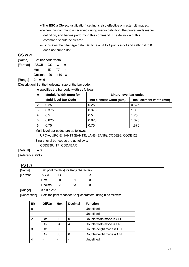- The **ESC a** (Select justification) setting is also effective on raster bit images.
- When this command is received during macro definition, the printer ends macro definition, and begins performing this command. The definition of this command should be cleared.
- d indicates the bit-image data. Set time a bit to 1 prints a dot and setting it to 0 does not print a dot.

#### **GS w** *n*

| [Name] | Set bar code width  |  |       |   |  |
|--------|---------------------|--|-------|---|--|
|        | [Format] ASCII GS w |  |       | n |  |
|        | Hex                 |  | 1D 77 | n |  |
|        | Decimal 29 $119$ n  |  |       |   |  |
|        |                     |  |       |   |  |

#### [Range] 2≤ *n*≤ 6

[Description] Set the horizontal size of the bar code.

*n* specifies the bar code width as follows:

| $\mathbf n$ | Module Width (mm) for       | <b>Binary-level bar codes</b> |                          |  |  |
|-------------|-----------------------------|-------------------------------|--------------------------|--|--|
|             | <b>Multi-level Bar Code</b> | Thin element width (mm)       | Thick element width (mm) |  |  |
| 2           | 0.25                        | 0.25                          | 0.625                    |  |  |
| 3           | 0.375                       | 0.375                         | 1.0                      |  |  |
| 4           | 0.5                         | 0.5                           | 1.25                     |  |  |
| 5           | 0.625                       | 0.625                         | 1.625                    |  |  |
| 6           | 0.75                        | 0.75                          | 1.875                    |  |  |

. Multi-level bar codes are as follows:

UPC-A, UPC-E, JAN13 (EAN13), JAN8 (EAN8), CODE93, CODE128

. Binary-level bar codes are as follows:

CODE39, ITF, CODABAR

[Default] *n* = 3

[Reference] **GS k**

# $FS!n$

| [Name]   | Set print mode(s) for Kanji characters |    |    |   |  |  |  |
|----------|----------------------------------------|----|----|---|--|--|--|
| [Format] | ASCII                                  | FS |    | n |  |  |  |
|          | Hex                                    | 1C | 21 | n |  |  |  |
|          | Decimal                                | 28 | 33 | n |  |  |  |

[Range] 0 *≤ n ≤* 255

[Description] Sets the print mode for Kanji characters, using n as follows:

| <b>Bit</b> | Off/On | Hex | <b>Decimal</b> | <b>Function</b>            |
|------------|--------|-----|----------------|----------------------------|
| 0          |        |     |                | Undefined.                 |
|            |        |     |                | Undefined.                 |
| 2          | Off    | 00  | 0              | Double-width mode is OFF.  |
|            | On     | 04  | 4              | Double-width mode is ON.   |
| 3          | Off    | 00  |                | Double-height mode is OFF. |
|            | On     | 08  | 8              | Double-height mode is ON.  |
|            |        |     |                | Undefined.                 |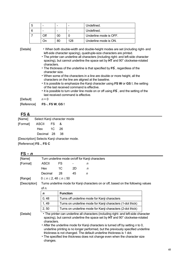| b |     |    |     | Undefined.             |
|---|-----|----|-----|------------------------|
|   |     |    |     | Undefined.             |
|   | Оff | 00 |     | Underline mode is OFF. |
|   |     | 80 | 128 | Underline mode is ON.  |

[Details]• When both double-width and double-height modes are set (including right- and left-side character spacing), quadruple-size characters are printed.

- The printer can underline all characters (including right- and left-side character spacing), but cannot underline the space set by **HT** and 90° clockwise-rotated characters.
- The thickness of the underline is that specified by **FS** , regardless of the character size.
- When some of the characters in a line are double or more height, all the characters on the line are aligned at the baseline.
- It is possible to emphasize the Kanji character using **FS W** or **GS !**, the setting of the last received command is effective.
- It is possible to turn under line mode on or off using **FS** , and the setting of the last received command is effective.

[Default] *n* = 0

[Reference] **FS -**, **FS W**, **GS !** 

# **FS &**

| [Name]                                      | Select Kanji character mode |  |     |  |  |  |  |  |
|---------------------------------------------|-----------------------------|--|-----|--|--|--|--|--|
| [Format]                                    | ASCII FS                    |  | &   |  |  |  |  |  |
|                                             | Hex 1C 26                   |  |     |  |  |  |  |  |
|                                             | Decimal 28                  |  | -38 |  |  |  |  |  |
| [Description] Selects Kanji character mode. |                             |  |     |  |  |  |  |  |

[Reference] **FS .**, **FS C** 

| $FS - n$      |                                      |                                                            |                                                                                                                                                                                                                                                                                                                                                                                                                                                                                                     |                                                                                    |  |  |  |  |  |
|---------------|--------------------------------------|------------------------------------------------------------|-----------------------------------------------------------------------------------------------------------------------------------------------------------------------------------------------------------------------------------------------------------------------------------------------------------------------------------------------------------------------------------------------------------------------------------------------------------------------------------------------------|------------------------------------------------------------------------------------|--|--|--|--|--|
| [Name]        |                                      |                                                            | Turn underline mode on/off for Kanji characters                                                                                                                                                                                                                                                                                                                                                                                                                                                     |                                                                                    |  |  |  |  |  |
| [Format]      | ASCII                                | FS.                                                        |                                                                                                                                                                                                                                                                                                                                                                                                                                                                                                     | n                                                                                  |  |  |  |  |  |
|               | Hex                                  | 1C                                                         | 2D                                                                                                                                                                                                                                                                                                                                                                                                                                                                                                  | n                                                                                  |  |  |  |  |  |
|               | Decimal                              | 28                                                         | 45                                                                                                                                                                                                                                                                                                                                                                                                                                                                                                  | n                                                                                  |  |  |  |  |  |
| [Range]       | $0 \leq n \leq 2, 48 \leq n \leq 50$ |                                                            |                                                                                                                                                                                                                                                                                                                                                                                                                                                                                                     |                                                                                    |  |  |  |  |  |
| [Description] |                                      |                                                            |                                                                                                                                                                                                                                                                                                                                                                                                                                                                                                     | Turns underline mode for Kanji characters on or off, based on the following values |  |  |  |  |  |
|               | of n.                                |                                                            |                                                                                                                                                                                                                                                                                                                                                                                                                                                                                                     |                                                                                    |  |  |  |  |  |
|               | $\mathbf n$                          | <b>Function</b>                                            |                                                                                                                                                                                                                                                                                                                                                                                                                                                                                                     |                                                                                    |  |  |  |  |  |
|               | 0,48                                 | Turns off underline mode for Kanji characters              |                                                                                                                                                                                                                                                                                                                                                                                                                                                                                                     |                                                                                    |  |  |  |  |  |
|               | 1, 49                                | Turns on underline mode for Kanji characters (1-dot thick) |                                                                                                                                                                                                                                                                                                                                                                                                                                                                                                     |                                                                                    |  |  |  |  |  |
|               | 2, 50                                |                                                            |                                                                                                                                                                                                                                                                                                                                                                                                                                                                                                     | Turns on underline mode for Kanji characters (2-dot thick)                         |  |  |  |  |  |
| [Details]     | characters.<br>changes.              |                                                            | • The printer can underline all characters (including right- and left-side character<br>spacing), but cannot underline the space set by HT and 90° clockwise-rotated<br>• After the underline mode for Kanji characters is turned off by setting n to 0,<br>underline printing is no longer performed, but the previously specified underline<br>thickness is not changed. The default underline thickness is 1 dot.<br>• The specified line thickness does not change even when the character size |                                                                                    |  |  |  |  |  |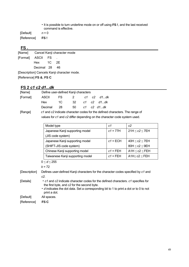• It is possible to turn underline mode on or off using **FS !**, and the last received command is effective.

[Default] *n* = 0 [Reference] **FS !** 

# **FS .**

|                                             | [Name] Cancel Kanji character mode |  |      |  |  |  |  |  |
|---------------------------------------------|------------------------------------|--|------|--|--|--|--|--|
| [Format] ASCII FS                           |                                    |  |      |  |  |  |  |  |
|                                             | Hex 1C 2E                          |  |      |  |  |  |  |  |
|                                             | Decimal 28                         |  | - 46 |  |  |  |  |  |
| [Description] Cancels Kanji character mode. |                                    |  |      |  |  |  |  |  |

[Reference] **FS &**, **FS C**

# **FS 2** *c1 c2 d1...dk*

| [Name]   |                                                         | Define user-defined Kanji characters                                                                                                                    |    |    |    |                  |                        |  |  |  |
|----------|---------------------------------------------------------|---------------------------------------------------------------------------------------------------------------------------------------------------------|----|----|----|------------------|------------------------|--|--|--|
| [Format] | ASCII                                                   | FS.                                                                                                                                                     | 2  | c1 | c2 | d1…dk            |                        |  |  |  |
|          | Hex                                                     | 1C                                                                                                                                                      | 32 |    |    | c1 c2 d1…dk      |                        |  |  |  |
|          | Decimal                                                 | 28                                                                                                                                                      | 50 |    |    | $c1$ $c2$ $d1dk$ |                        |  |  |  |
| [Range]  |                                                         | c1 and c2 indicate character codes for the defined characters. The range of<br>values for c1 and c2 differ depending on the character code system used. |    |    |    |                  |                        |  |  |  |
|          | Model type<br>c1<br>c2                                  |                                                                                                                                                         |    |    |    |                  |                        |  |  |  |
|          | Japanese Kanji supporting model<br>$($ IIS code system) |                                                                                                                                                         |    |    |    | $c1 = 77H$       | $21H \leq c2 \leq 7EH$ |  |  |  |

| (JIS code system)                |            |                |
|----------------------------------|------------|----------------|
| Japanese Kanji supporting model  | $c1 = ECH$ | 40H ≤ c2 ≤ 7EH |
| (SHIFT-JIS code system)          |            | 80H < c2 < 9EH |
| Chinese Kanji supporting model   | $c1$ = FEH | A1H ≤ c2 ≤ FEH |
| Taiwanese Kanji supporting model | $c1 = FEH$ | A1H≤ c2 ≤ FEH  |

0 *≤ d ≤* 255

*k* = 72

[Description] Defines user-defined Kanji characters for the character codes specified by *c1* and *c2*.

- [Details] *c1* and *c2* indicate character codes for the defined characters. *c1* specifies for the first byte, and *c2* for the second byte.
	- *d* indicates the dot data. Set a corresponding bit to 1 to print a dot or to 0 to not print a dot.

[Default] All spaces.

[Reference] **FS C**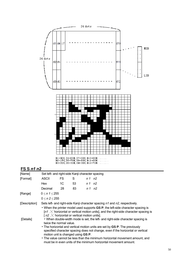

# **FS S** *n1 n2*

| [Name]        | Set left- and right-side Kanji character spacing                                                                                                                                                                                            |                                    |    |         |                                                                             |  |  |  |
|---------------|---------------------------------------------------------------------------------------------------------------------------------------------------------------------------------------------------------------------------------------------|------------------------------------|----|---------|-----------------------------------------------------------------------------|--|--|--|
| [Format]      | ASCII                                                                                                                                                                                                                                       | FS                                 | S  | n 1 n 2 |                                                                             |  |  |  |
|               | Hex                                                                                                                                                                                                                                         | 1C                                 | 53 | n 1 n 2 |                                                                             |  |  |  |
|               | Decimal                                                                                                                                                                                                                                     | 28                                 | 83 | n 1 n 2 |                                                                             |  |  |  |
| [Range]       | $0 \le n 1 \le 255$                                                                                                                                                                                                                         |                                    |    |         |                                                                             |  |  |  |
|               | 0 < n 2 < 255                                                                                                                                                                                                                               |                                    |    |         |                                                                             |  |  |  |
| [Description] | Sets left- and right-side Kanji character spacing n1 and n2, respectively.                                                                                                                                                                  |                                    |    |         |                                                                             |  |  |  |
|               | • When the printer model used supports GS P, the left-side character spacing is<br>$\lceil n/1 \rceil$ horizontal or vertical motion units], and the right-side character spacing is<br>[ $n2 \times$ horizontal or vertical motion units]. |                                    |    |         |                                                                             |  |  |  |
| [Details]     | • When double-width mode is set, the left- and right-side character spacing is<br>twice the normal value.                                                                                                                                   |                                    |    |         |                                                                             |  |  |  |
|               | • The horizontal and vertical motion units are set by GS P. The previously                                                                                                                                                                  |                                    |    |         |                                                                             |  |  |  |
|               | specified character spacing does not change, even if the horizontal or vertical                                                                                                                                                             |                                    |    |         |                                                                             |  |  |  |
|               |                                                                                                                                                                                                                                             | motion unit is changed using GS P. |    |         |                                                                             |  |  |  |
|               |                                                                                                                                                                                                                                             |                                    |    |         | • The value cannot be less than the minimum horizontal movement amount, and |  |  |  |
|               | must be in even units of the minimum horizontal movement amount.                                                                                                                                                                            |                                    |    |         |                                                                             |  |  |  |